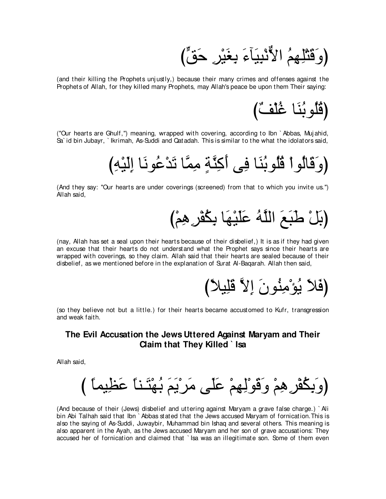(وَ قَتْلِهِمُ الأَّنْبِيَآءَ بِغَيْرِ ۖ حَقٍّ)

(and their killing the Prophets unj ustly,) because their many crimes and offenses against the Prophets of Allah, for they killed many Prophets, may Allah's peace be upon them Their saying:



("Our hearts are Ghulf,'') meaning, wrapped with covering, according to Ibn ` Abbas, Muj ahid, Sa` id bin Jubayr, ` Ikrimah, As-Suddi and Qatadah. This is similar to the what the idolators said,

(وَقَالُو ا ڤُلُوبُنَا فِي أَكِذَّةٍ مِمَّا تَدْعُونَا اِلَيْهِ)

(And they say: "Our hearts are under coverings (screened) from that to which you invite us.'') Allah said,

(بَلْ طَبَعَ اللَّهُ عَلَيْهَا بِكُفْرِ هِمْ)

(nay, Allah has set a seal upon their hearts because of their disbelief,) It is as if they had given an excuse that their hearts do not understand what the Prophet says since their hearts are wrapped with coverings, so they claim. Allah said that their hearts are sealed because of their disbelief, as we mentioned before in the explanation of Surat Al-Baqarah. Allah then said,

(فَلاَ يُوْمِنُونَ إِلاَّ قَلِيلاً)

(so they believe not but a little.) for their hearts became accustomed to Kufr, transgression and weak faith.

## **The Evil Accusation the Jews Uttered Against Maryam and Their Claim that They Killed ` Isa**

Allah said,

(وَيِكْفْرِ هِمْ وَقَوْلِهِمْ عَلَى مَرْيَمَ بُهْتَناً عَظِيماً )

(And because of their (Jews) disbelief and uttering against Maryam a grave false charge.) ` Ali bin Abi Talhah said that Ibn ` Abbas stated that the Jews accused Maryam of fornication.This is also the saying of As-Suddi, Juwaybir, Muhammad bin Ishaq and several others. This meaning is also apparent in the Ayah, as the Jews accused Maryam and her son of grave accusations: They accused her of fornication and claimed that ` Isa was an illegitimate son. Some of them even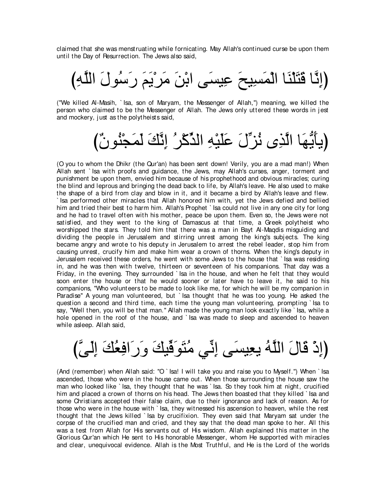claimed that she was menstruating while fornicating. May Allah's continued curse be upon them until the Day of Resurrection. The Jews also said,

び⌒ヮzヤャや ∠メヲ⊥シ∠ケ ∠ユ∠Α∇ゲ∠ョ ∠リ∇よや ヴ∠ジΒ⌒ハ ∠ウΒ⌒ジ∠ヨ∇ャや ゅ∠レ∇ヤ∠わ∠ホ ゅzル⌒まぴ

("We killed Al-Masih, ` Isa, son of Maryam, the Messenger of Allah,'') meaning, we killed the person who claimed to be the Messenger of Allah. The Jews only uttered these words in jest and mockery, j ust as the polytheists said,

び∀ラヲ⊥レ∇イ∠ヨ∠ャ ∠マzル⌒ま ⊥ゲ∇ミあグャや ⌒ヮ∇Β∠ヤ∠ハ ∠メあゴ⊥ル ン⌒グzャや ゅ∠ヰぁΑ∠ほΑぴ

(O you to whom the Dhikr (the Qur'an) has been sent down! Verily, you are a mad man!) When Allah sent ` Isa with proofs and guidance, the Jews, may Allah's curses, anger, torment and punishment be upon them, envied him because of his prophethood and obvious miracles; curing the blind and leprous and bringing the dead back to life, by Allah's leave. He also used to make the shape of a bird from clay and blow in it, and it became a bird by Allah's leave and flew. ` Isa performed other miracles that Allah honored him with, yet the Jews defied and bellied him and tried their best to harm him. Allah's Prophet ` Isa could not live in any one city for long and he had to travel often with his mother, peace be upon them. Even so, the Jews were not satisfied, and they went to the king of Damascus at that time, a Greek polytheist who worshipped the stars. They told him that there was a man in Bayt Al-Maqdis misguiding and dividing the people in Jerusalem and stirring unrest among the king's subjects. The king became angry and wrote to his deputy in Jerusalem to arrest the rebel leader, stop him from causing unrest, crucify him and make him wear a crown of thorns. When the king's deputy in Jerusalem received these orders, he went with some Jews to the house that ` Isa was residing in, and he was then with twelve, thirteen or seventeen of his companions. That day was a Friday, in the evening. They surrounded `Isa in the house, and when he felt that they would soon enter the house or that he would sooner or later have to leave it, he said to his companions, "Who volunteers to be made to look like me, for which he will be my companion in Paradise" A young man volunteered, but `lsa thought that he was too young. He asked the question a second and third time, each time the young man volunteering, prompting ` Isa to say, "Well then, you will be that man." Allah made the young man look exactly like ` Isa, while a hole opened in the roof of the house, and ` Isa was made to sleep and ascended to heaven while asleep. Allah said,



(And (remember) when Allah said: "O ` Isa! I will take you and raise you to Myself.'') When ` Isa ascended, those who were in the house came out. When those surrounding the house saw the man who looked like ` Isa, they thought that he was ` Isa. So they took him at night, crucified him and placed a crown of thorns on his head. The Jews then boasted that they killed ` Isa and some Christians accepted their false claim, due to their ignorance and lack of reason. As for those who were in the house with ` Isa, they witnessed his ascension to heaven, while the rest thought that the Jews killed ` Isa by crucifixion. They even said that Maryam sat under the corpse of the crucified man and cried, and they say that the dead man spoke to her. All this was a test from Allah for His servants out of His wisdom. Allah explained this matter in the Glorious Qur'an which He sent to His honorable Messenger, whom He supported with miracles and clear, unequivocal evidence. Allah is the Most Truthful, and He is the Lord of the worlds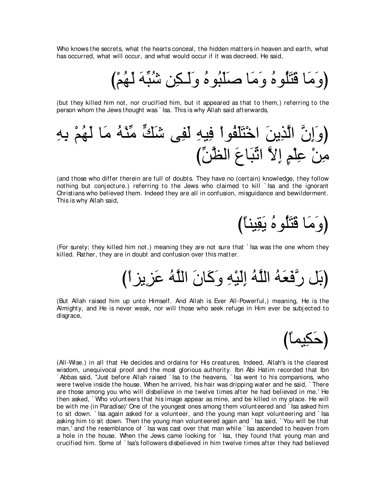Who knows the secrets, what the hearts conceal, the hidden matters in heaven and earth, what has occurred, what will occur, and what would occur if it was decreed. He said,

び∇ユ⊥ヰ∠ャ ∠ヮあら⊥セ リ⌒ム⇒∠ャ∠ヱ ⊥ロヲ⊥ら∠ヤ∠タ ゅ∠ョ∠ヱ ⊥ロヲ⊥ヤ∠わ∠ホ ゅ∠ョ∠ヱぴ

(but they killed him not, nor crucified him, but it appeared as that to them,) referring to the person whom the Jews thought was ` Isa. This is why Allah said afterwards,

⌒ヮ⌒よ ∇ユ⊥ヰ∠ャ ゅ∠ョ ⊥ヮ∇レあョ yマ∠セ ヴ⌒ヘ∠ャ ⌒ヮΒ⌒プ ∇やヲ⊥ヘ∠ヤ∠わ∇カや ∠リΑ⌒グzャや zラ⌒ま∠ヱぴ びあリzヌャや ∠ネゅ∠らあゎや zΙ⌒ま ∃ユ∇ヤ⌒ハ ∇リ⌒ョ

(and those who differ therein are full of doubts. They have no (certain) knowledge, they follow nothing but conj ecture.) referring to the Jews who claimed to kill ` Isa and the ignorant Christians who believed them. Indeed they are all in confusion, misguidance and bewilderment. This is why Allah said,

(وَمَا قَتَلُوهُ يَقِينَا)

(For surely; they killed him not.) meaning they are not sure that ` Isa was the one whom they killed. Rather, they are in doubt and confusion over this matter.

び⇔やゴΑ⌒ゴ∠ハ ⊥ヮzヤャや ∠ラゅ∠ミ∠ヱ ⌒ヮ∇Β∠ャ⌒ま ⊥ヮzヤャや ⊥ヮ∠バ∠プzケ モ∠よぴ

(But Allah raised him up unto Himself. And Allah is Ever All-Powerful,) meaning, He is the Almighty, and He is never weak, nor will those who seek refuge in Him ever be subj ected to disgrace,

(حَكِيماً)

(All-Wise.) in all that He decides and ordains for His creatures. Indeed, Allah's is the clearest wisdom, unequivocal proof and the most glorious authority. Ibn Abi Hatim recorded that Ibn ` Abbas said, "Just before Allah raised ` Isa to the heavens, ` Isa went to his companions, who were twelve inside the house. When he arrived, his hair was dripping water and he said, ` There are those among you who will disbelieve in me twelve times after he had believed in me.' He then asked, ` Who volunteers that his image appear as mine, and be killed in my place. He will be with me (in Paradise)' One of the youngest ones among them volunteered and ` Isa asked him to sit down. ` Isa again asked for a volunteer, and the young man kept volunteering and ` Isa asking him to sit down. Then the young man volunteered again and ` Isa said, ` You will be that man,' and the resemblance of ` Isa was cast over that man while ` Isa ascended to heaven from a hole in the house. When the Jews came looking for ` Isa, they found that young man and crucified him. Some of ` Isa's followers disbelieved in him twelve times after they had believed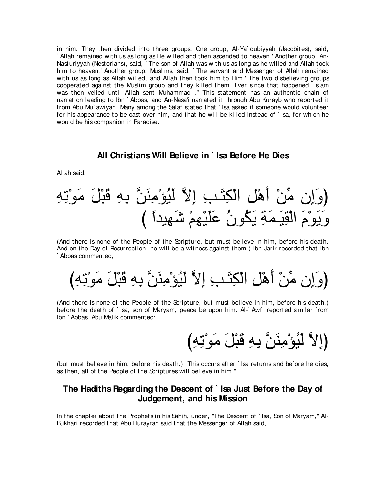in him. They then divided into three groups. One group, Al-Ya` qubiyyah (Jacobites), said, ` Allah remained with us as long as He willed and then ascended to heaven.' Another group, An-Nasturiyyah (Nestorians), said, The son of Allah was with us as long as he willed and Allah took him to heaven.' Another group, Muslims, said, ` The servant and Messenger of Allah remained with us as long as Allah willed, and Allah then took him to Him.' The two disbelieving groups cooperated against the Muslim group and they killed them. Ever since that happened, Islam was then veiled until Allah sent Muhammad .'' This statement has an authentic chain of narration leading to Ibn ` Abbas, and An-Nasa'i narrated it through Abu Kurayb who reported it from Abu Mu` awiyah. Many among the Salaf stated that ` Isa asked if someone would volunteer for his appearance to be cast over him, and that he will be killed instead of ` Isa, for which he would be his companion in Paradise.

### **All Christians Will Believe in ` Isa Before He Dies**

Allah said,

⌒ヮ⌒ゎ∇ヲ∠ョ ∠モ∇ら∠ホ ⌒ヮ⌒よ zリ∠レ⌒ョ∇ぽ⊥Β∠ャ zΙ⌒ま ⌒ょ⇒∠わ⌒ム∇ャや ⌒モ∇ワ∠ぺ ∇リあョ ラ⌒ま∠ヱぴ び ⇔やギΒ⌒ヰ∠セ ∇ユ⌒ヰ∇Β∠ヤ∠ハ ⊥ラヲ⊥ム∠Α ⌒る∠ヨ⇒∠Β⌒ボ∇ャや ∠ュ∇ヲ∠Α∠ヱ

(And there is none of the People of the Scripture, but must believe in him, before his death. And on the Day of Resurrection, he will be a witness against them.) Ibn Jarir recorded that Ibn ` Abbas commented,

び⌒ヮ⌒ゎ∇ヲ∠ョ ∠モ∇ら∠ホ ⌒ヮ⌒よ zリ∠レ⌒ョ∇ぽ⊥Β∠ャ zΙ⌒ま ⌒ょ⇒∠わ⌒ム∇ャや ⌒モ∇ワ∠ぺ ∇リあョ ラ⌒ま∠ヱぴ

(And there is none of the People of the Scripture, but must believe in him, before his death.) before the death of ` Isa, son of Maryam, peace be upon him. Al-` Awfi reported similar from Ibn ` Abbas. Abu Malik commented;

(إِلاَّ لَيُوْمِنَنَّ بِهِ قَبْلَ مَوْتِهِ)

(but must believe in him, before his death.) "This occurs after ` Isa returns and before he dies, as then, all of the People of the Scriptures will believe in him.''

# **The Hadiths Regarding the Descent of ` Isa Just Before the Day of Judgement, and his Mission**

In the chapter about the Prophets in his Sahih, under, "The Descent of `Isa, Son of Maryam," Al-Bukhari recorded that Abu Hurayrah said that the Messenger of Allah said,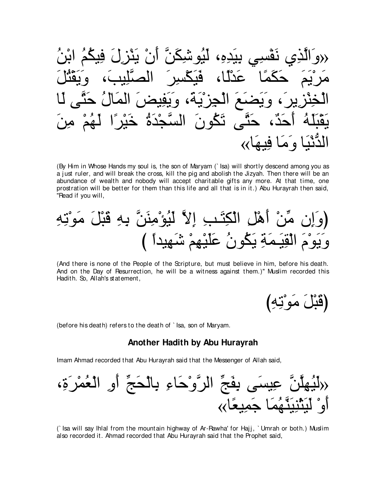(By Him in Whose Hands my soul is, the son of Maryam (`Isa) will shortly descend among you as a just ruler, and will break the cross, kill the pig and abolish the Jizyah. Then there will be an abundance of wealth and nobody will accept charitable gifts any more. At that time, one prostration will be better for them than this life and all that is in it.) Abu Hurayrah then said, "Read if you will,

(And there is none of the People of the Scripture, but must believe in him, before his death. And on the Day of Resurrection, he will be a witness against them.)" Muslim recorded this Hadith. So, Allah's statement,

(قَبْلَ مَوْتِنِهِ)

(before his death) refers to the death of `lsa, son of Maryam.

### Another Hadith by Abu Hurayrah

Imam Ahmad recorded that Abu Hurayrah said that the Messenger of Allah said,



('Isa will say Ihlal from the mountain highway of Ar-Rawha' for Hajj, 'Umrah or both.) Muslim also recorded it. Ahmad recorded that Abu Hurayrah said that the Prophet said,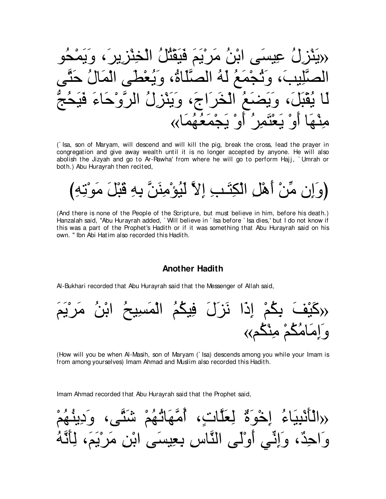Clsa, son of Maryam, will descend and will kill the pig, break the cross, lead the prayer in congregation and give away wealth until it is no longer accepted by anyone. He will also abolish the Jizyah and go to Ar-Rawha' from where he will go to perform Hajj, `Umrah or both.) Abu Hurayrah then recited,

(And there is none of the People of the Scripture, but must believe in him, before his death.) Hanzalah said, "Abu Hurayrah added, `Will believe in `Isa before `Isa dies,' but I do not know if this was a part of the Prophet's Hadith or if it was something that Abu Hurayrah said on his own. " Ibn Abi Hatim also recorded this Hadith.

### **Another Hadith**

Al-Bukhari recorded that Abu Hurayrah said that the Messenger of Allah said,



(How will you be when Al-Masih, son of Maryam (`lsa) descends among you while your Imam is from among yourselves) Imam Ahmad and Muslim also recorded this Hadith.

Imam Ahmad recorded that Abu Hurayrah said that the Prophet said,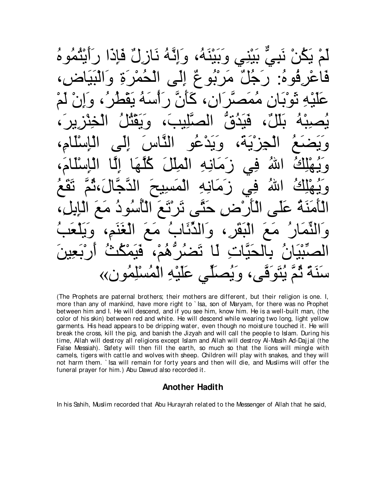ِّلْمَ، وَ إِنَّهُ ثَانَ لَّ قَانَا فَاعْرِفُوهُ: رَجُلٌّ مَرْبُوعٌ إِلَى الْحُمْرَةِ وَالْبَيَاضِ، عَلَيْهِ ثَوْبَانِ مُمَصّرَانٍ، كَأَنَّ رَاسَهُ يَقْطُرُ، وَإِنْ لَمْ بُصبِبْهُ بَلْلٌ، فَيَدُقٌّ الصَّلِيبَ، وَيَقَثُّلُ الْخِنْزِيرِ َ، وَيَضَعُ الْجِزْيَةَ، وَيَدْعُو النَّاسَ إِلَى الْإِسْلَامِ، وَيُهْلِكُ اللهُ فِي زَمَانِهِ الْمِلْلَ كَلُّهَا إِلَ**ّا الْ**إِسْلَ**ا**مَ، وَيُهْلِكُ اللهُ فِي زَمَانِهِ الْمَسِيحَ الذَّجَّالَ،ثُّمَّ نَقَعُ الْأَمَنَةُ عَلَى الْأَرْض حَتَّى تَرْتَعَ الْأَسُودُ مَعَ الْإِبِلِ، وَالنَّمَارُ مَعَ الْبَقَرِ، وَالذَّنَابُ مَعَ الْغَنَمِ، وَيَلْعَبُ الصنِّبْيَانُ بِالْحَيَّاتِ لَـا تَصْرُرُّهُمْ، فَيَمْكُثُ أَرْبَعِينَ ِقِي، ويَصلي عَلَيْهِ الْمُسْ

(The Prophets are paternal brothers; their mothers are different, but their religion is one. I, more than any of mankind, have more right to ` Isa, son of Maryam, for there was no Prophet between him and I. He will descend, and if you see him, know him. He is a well-built man, (the color of his skin) between red and white. He will descend while wearing two long, light yellow garments. His head appears to be dripping water, even though no moisture touched it. He will break the cross, kill the pig, and banish the Jizyah and will call the people to Islam. During his time, Allah will destroy all religions except Islam and Allah will destroy Al-Masih Ad-Dajial (the False Messiah). Safety will then fill the earth, so much so that the lions will mingle with camels, tigers with cattle and wolves with sheep. Children will play with snakes, and they will not harm them. ` Isa will remain for forty years and then will die, and Muslims will offer the funeral prayer for him.) Abu Dawud also recorded it.

## **Another Hadith**

In his Sahih, Muslim recorded that Abu Hurayrah related to the Messenger of Allah that he said,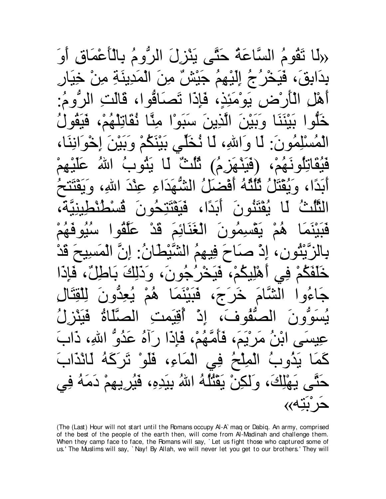√دلًا نَقْوٍمُ السَّاعَةُ حَتَّى يَذْزِلَ الرُّومُ بِالْأَعْمَاقِ أَوَ بِدَابِقَ، فَيَخْرُ جُ∠لِلْيْهِمُ جَيْشٌ مِنَ الْمَدِينَةِ مِنْ أَهْل الْأَر ٛض بَو ْمَئِذ، فَإِذَا تَصدَاقُو ا، قَا الَّذِينَ سنَوَ ۠ا مِثَّا نُقَ وَ اللهِ، لَا نُخَلِّي بَيْنَكُمْ وَبَيْر فَبۡقَاتِلُو نَـهُمۡ، (فَبَنۡهَزۡ مُ) نُّلُتُ لَا يَثُو د وَ بِكَّقَتَلُ ثَلَّثَّهُ أَقْضَلُ الشَّهَدَاءِ عِنْدَ اللهِ، ويَفَّذَ دُوْتَهُ نَ ∫َلَدَّا وَ هَدَوْتَتُدُو ر بَقْسِمُو نَ الْغَذَائِمَ قَدْ عَلَّقُو إذ صـاح فِيهمَ الشّبْطانُ: إنَّ الْمَسـنحَ قَدْ خَلَّفَكُمْ فِي أَهْلِبِكُمْ، فَبَخْرُجُونَ، وَذَلِكَ بَاطِلٌ، فَإِذَا جَاءُوا الشَّامَ خَرَجَ، فَبَيْنَمَا هُمْ يُعِدَّونَ لِلْقِتَالِ يُسَوَّونَ الصَّفُوفَ، إِذْ أَقِيَمتِ الصَّلَاةُ فَيَنْزِلُ عِيسَى ابْنُ مَر يَمَ، فَأَمَّهُمْ، فَإِذَا ر∫َهُ عَدُوٌ اللهِ، ذَابَ لحُ فِي الْمَاءِ، فَلَوْ تَرَكَهُ لَانْذَابَ لِّكَ، وَلِكِنْ يَقْتُلُّهُ اللهُ بِيَدِهِ، فَيُرِيبِهِمْ دَمَهُ فِ ≪ ننه*∢* 

(The (Last) Hour will not start until the Romans occupy Al-A` maq or Dabiq. An army, comprised of the best of the people of the earth then, will come from Al-Madinah and challenge them. When they camp face to face, the Romans will say, ` Let us fight those who captured some of us.' The Muslims will say, ` Nay! By Allah, we will never let you get to our brothers.' They will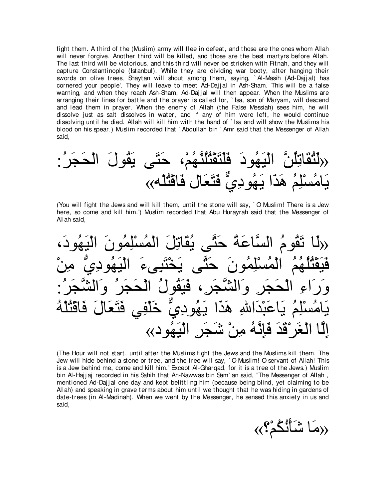fight them. A third of the (Muslim) army will flee in defeat, and those are the ones whom Allah will never forgive. Another third will be killed, and those are the best martyrs before Allah. The last third will be victorious, and this third will never be stricken with Fitnah, and they will capture Constantinople (Istanbul). While they are dividing war booty, after hanging their swords on olive trees, Shaytan will shout among them, saying, `Al-Masih (Ad-Dajjal) has cornered your people'. They will leave to meet Ad-Dajjal in Ash-Sham. This will be a false warning, and when they reach Ash-Sham, Ad-Dajjal will then appear. When the Muslims are arranging their lines for battle and the prayer is called for, ` Isa, son of Maryam, will descend and lead them in prayer. When the enemy of Allah (the False Messiah) sees him, he will dissolve just as salt dissolves in water, and if any of him were left, he would continue dissolving until he died. Allah will kill him with the hand of ` Isa and will show the Muslims his blood on his spear.) Muslim recorded that ` Abdullah bin ` Amr said that the Messenger of Allah said,

 :⊥ゲ∠イ∠エ∇ャや ∠メヲ⊥ボ∠Α ヴ∠わ∠ェ ∩∇ユ⊥ヰzレ⊥ヤ⊥わ∇ボ∠わ∠ヤ∠プ ∠キヲ⊥ヰ∠Β∇ャや zリ⊥ヤ⌒ゎゅ∠ボ⊥わ∠ャ» «ヮ∇ヤ⊥わ∇ホゅ∠プ メゅ∠バ∠わ∠プ xヵ⌒キヲ⊥ヰ∠Α や∠グ∠ワ ⊥ユ⌒ヤ∇ジ⊥ョゅ∠Α

(You will fight the Jews and will kill them, until the stone will say, ` O Muslim! There is a Jew here, so come and kill him.') Muslim recorded that Abu Hurayrah said that the Messenger of Allah said,

ِ السَّاعَةُ جَشَّ*ّى* بُقَاتِرً قَيَقَتْلُهُمُ الْمُسْلِمُونَ حَتَّى يَخْتَبِىءَ الْيَهُودِيَّ مِنْ وَرَاءِ الْحَجَرِ وَالشَّجَرِ، فَيَقُولُ الْحَجَرُ وَالشَّجَرُ: يَامُسْلِمُ يَاعَبْدَاللهِ هَذَا يَهُودِيٌّ خَلْفِي فَتَعَالَ فَاقْتُلْهُ الْغَرِ ۚقَدَ فَإِنَّهُ مِنْ شَجَرٍ ِ الْبَيْهِ دِ››

(The Hour will not start, until after the Muslims fight the Jews and the Muslims kill them. The Jew will hide behind a stone or tree, and the tree will say, ` O Muslim! O servant of Allah! This is a Jew behind me, come and kill him.' Except Al-Gharqad, for it is a tree of the Jews.) Muslim bin Al-Hajjaj recorded in his Sahih that An-Nawwas bin Sam' an said, "The Messenger of Allah, mentioned Ad-Dajjal one day and kept belittling him (because being blind, yet claiming to be Allah) and speaking in grave terms about him until we thought that he was hiding in gardens of date-trees (in Al-Madinah). When we went by the Messenger, he sensed this anxiety in us and said,

«(مَا شَأَنْكُمْ؟)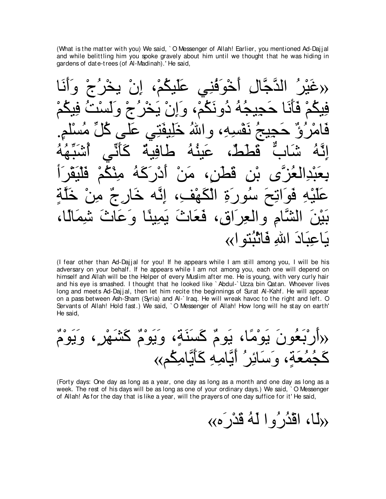(What is the matter with you) We said, `O Messenger of Allah! Earlier, you mentioned Ad-Dajjal and while belittling him you spoke gravely about him until we thought that he was hiding in gardens of date-trees (of Al-Madinah).' He said,



(I fear other than Ad-Dajj al for you! If he appears while I am still among you, I will be his adversary on your behalf. If he appears while I am not among you, each one will depend on himself and Allah will be the Helper of every Muslim after me. He is young, with very curly hair and his eye is smashed. I thought that he looked like ` Abdul-` Uzza bin Qatan. Whoever lives long and meets Ad-Dajjal, then let him recite the beginnings of Surat Al-Kahf. He will appear on a pass between Ash-Sham (Syria) and Al-` Iraq. He will wreak havoc to the right and left. O Servants of Allah! Hold fast.) We said, ` O Messenger of Allah! How long will he stay on earth' He said,

يَوْمَا، يَومٌ كَشَةٍ، ويومّ كَثّ ةٍ، وَسَائِرٍ^ أَيَّامِكِمِّيٍّ)

(Forty days: One day as long as a year, one day as long as a month and one day as long as a week. The rest of his days will be as long as one of your ordinary days.) We said, ` O Messenger of Allah! As for the day that is like a year, will the prayers of one day suffice for it' He said,

«دلّا، اقَدُر ُو اللّهُ قَدْر َه»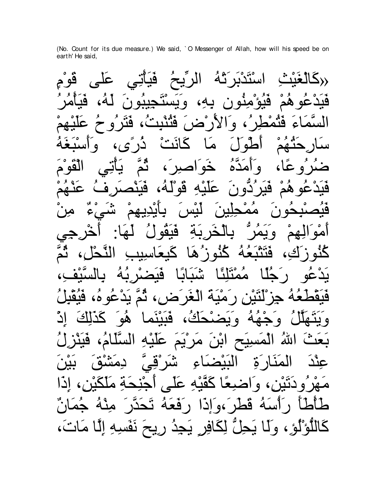(No. Count for its due measure.) We said, ` O Messenger of Allah, how will his speed be on earth' He said,

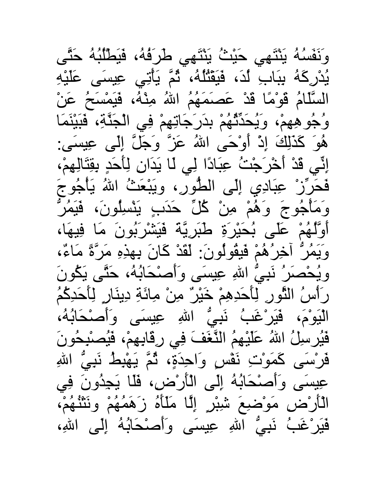وَنَفَسُهُ يَنْتَهِي حَيْثُ يَنْتَهِي طَرِفَهُ، فَيَطْلُبُهُ حَتَّى يُدْرِكَهُ بِبَابِ لَدَ، فَيَقْتُلُهُ، ثُمَّ يَأْتِي عِيسَى عَلَيْهِ السَّلَامُ قَوْمًا قَدْ عَصَمَهُمُ اللهُ مِنْهُ، فَيَمْسَحُ عَنْ وُجُوهِهِمْ، وَيُحَدِّثَهُمْ بِدَرَجَاتِهِمْ فِي الْجَنَّةِ، فَبَيْنَمَا هُوَ كَذَلِكَ إِذْ أَوْحَى اللهُ عَزَّ وَجَلَّ إِلَى عِيسَى: إِنِّـِي قَدْ أَخْرَجْتُ عِبَادًا لِي لَـا يَدَانِ لِأَحَدٍ بِقِثَالِهِمْ، فَحَرِّزْ عِبَادِي إِلَى الطُّورِ، ويَبْعَثُ اللهُ يَأْجُوجَ وَمَأْجُوجَ وَهُمْ مِنْ كُلِّ حَدَبِ يَنْسِلُونَ، فَيَمُرُّ أَوَّلُّهُمْ عَلَى بُحَيْرٍةَ طَبَرِيَّةَ فَيَشْرَبُونَ مَا فِيهَا، وَيَمُرٌ أَخِرُهُمْ فَيقُولُونَ: لَقَدْ كَانَ بِهذِهِ مَرَّةً مَاءٌ، ويُحْصَىَرُ نَبِيٌّ اللهِ عِيسَى وَأَصنْحَابُهُ، حَثَّى يَكُونَ رِأَسُ النُّورِ لِأَحَدِهِمْ خَيْرٌ مِنْ مِائَةِ دِينَارِ لِأَحَدِكْمُ الْيَوْمَ، فَيَرْغَبُ نَبِيٌّ اللهِ عِيسَى وَأَصنْحَابُهُ، قَيْرِسَلُ اللهُ عَلَيْهِمُ النَّغَفَ فِي رِقَابِهِمْ، فَيُصْبِحُونَ فَرْسَى كَمَوْتِ نَفْسٍ وَاحِدَةٍ، ثُمَّ يَهْبِطُ نَبِيُّ اللهِ عِيسَى وَأَصنْحَابُهُ إِلَى الْأَرْضِ، فَلَا يَجِدُونَ فِي الْأَرْض مَوْضعِعَ شْبِبْرٍ إِلَّا مَلَأَهُ زَهَمُهُمْ ونَتَنْهُمْ، هَيَر ْغَبُ نَبِيٌّ اللهِ عِيسَى وَأَصنْحَابُهُ إِلَى اللهِ،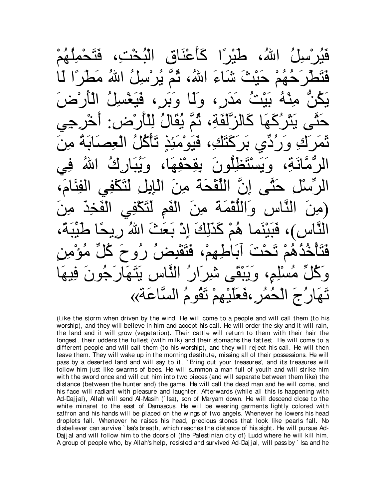لَنْدِ ًا كَأَعْنَاقٍ الْبُ )َ شَـَاءَ اللهُ، ثَّمَّ يَر<sup>ِّ</sup>سِ يَكِّنَّ مِنْهُ بَيْتُ مَدَرٍ، وَلَا وَبَرٍ، فَيَغْسِلُ الْأَرْضَ حَتَّـى يَثْرُكَهَا كَالزَّلْفَةِ، ثُّمَّ يُقَالُ لِلْأَرْضِ: أَخْرِجِي نَّمَرَكَ وَرَدِّي بَرَكَتَكِ، فَيَوْمَئِذٍ ثَاكُلُ الْعِصَابَةُ مِنَ الرَّمَّانَةِ، وَيَسْتَظْلُونَ يقِحْفِهَا، وَيُبَارِكُ اللهُ فِي الرِّسْلِ حَتَّى إِنَّ اللَّقْحَةَ مِنَ الْإِبِلِ لَنَّكْفِي الْفِئَامَ، ∠リ⌒ョ ∠グ⌒ガ∠ヘ∇ャや ヶ⌒ヘ∇ム∠わ∠ャ ∠ヘ∇ャや⌒ユ ∠リ⌒ョ ∠る∠ヨ∇ボぁヤャや∠ヱ ⌒サゅzレャや ∠リ⌒ョ) النَّاس)، فَبَيْنَما هُمْ كَذَلِكَ إِدْ بَعَثَ اللهُ رِيحًا طَيِّبَةً، انحنـــا الــاطهغي والتقيض وَكْلٍّ مُسْلِمٍ، وَيَبْقَى شَيْرَارُ النَّاسِ يَتَهَارَجُونَ فِيهَا حُمُرٍ ،فَعَلَيْهِمْ نَقُومُ السَّاعَةِ››

(Like the storm when driven by the wind. He will come to a people and will call them (to his worship), and they will believe in him and accept his call. He will order the sky and it will rain, the land and it will grow (vegetation). Their cattle will return to them with their hair the longest, their udders the fullest (with milk) and their stomachs the fattest. He will come to a different people and will call them (to his worship), and they will rej ect his call. He will then leave them. They will wake up in the morning destitute, missing all of their possessions. He will pass by a deserted land and will say to it, `Bring out your treasures', and its treasures will follow him just like swarms of bees. He will summon a man full of youth and will strike him with the sword once and will cut him into two pieces (and will separate between them like) the distance (between the hunter and) the game. He will call the dead man and he will come, and his face will radiant with pleasure and laughter. Afterwards (while all this is happening with Ad-Dajjal), Allah will send Al-Masih (` Isa), son of Maryam down. He will descend close to the white minaret to the east of Damascus. He will be wearing garments lightly colored with saffron and his hands will be placed on the wings of two angels. Whenever he lowers his head droplets fall. Whenever he raises his head, precious stones that look like pearls fall. No disbeliever can survive ` Isa's breath, which reaches the distance of his sight. He will pursue Ad-Dajjal and will follow him to the doors of (the Palestinian city of) Ludd where he will kill him. A group of people who, by Allah's help, resisted and survived Ad-Dajjal, will pass by `lsa and he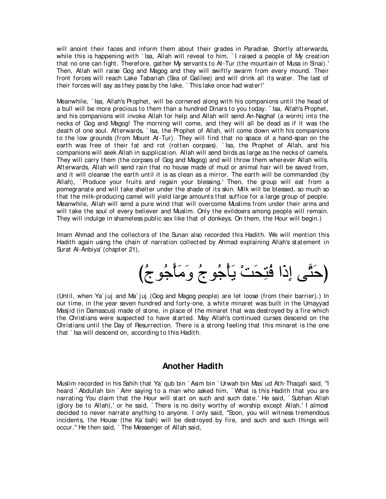will anoint their faces and inform them about their grades in Paradise. Shortly afterwards, while this is happening with `Isa, Allah will reveal to him, `I raised a people of My creation that no one can fight. Therefore, gather My servants to At-Tur (the mountain of Musa in Sinai).' Then, Allah will raise Gog and Magog and they will swiftly swarm from every mound. Their front forces will reach Lake Tabariah (Sea of Galilee) and will drink all its water. The last of their forces will say as they pass by the lake, ` This lake once had water!'

Meanwhile, ` Isa, Allah's Prophet, will be cornered along with his companions until the head of a bull will be more precious to them than a hundred Dinars to you today. ` Isa, Allah's Prophet, and his companions will invoke Allah for help and Allah will send An-Naghaf (a worm) into the necks of Gog and Magog! The morning will come, and they will all be dead as if it was the death of one soul. Afterwards, ` Isa, the Prophet of Allah, will come down with his companions to the low grounds (from Mount At-Tur). They will find that no space of a hand-span on the earth was free of their fat and rot (rotten corpses). Isa, the Prophet of Allah, and his companions will seek Allah in supplication. Allah will send birds as large as the necks of camels. They will carry them (the corpses of Gog and Magog) and will throw them wherever Allah wills. Afterwards, Allah will send rain that no house made of mud or animal hair will be saved from, and it will cleanse the earth until it is as clean as a mirror. The earth will be commanded (by Allah), ` Produce your fruits and regain your blessing.' Then, the group will eat from a pomegranate and will take shelter under the shade of its skin. Milk will be blessed, so much so that the milk-producing camel will yield large amounts that suffice for a large group of people. Meanwhile, Allah will send a pure wind that will overcome Muslims from under their arms and will take the soul of every believer and Muslim. Only the evildoers among people will remain. They will indulge in shameless public sex like that of donkeys. On them, the Hour will begin.)

Imam Ahmad and the collectors of the Sunan also recorded this Hadith. We will mention this Hadith again using the chain of narration collected by Ahmad explaining Allah's statement in Surat Al-Anbiya' (chapter 21),

び⊥ァヲ⊥ィ∇ほ∠ョ∠ヱ ⊥ァヲ⊥ィ∇ほ∠Α ∇ろ∠エ⌒わ⊥プ や∠ク⌒ま ヴzわ∠ェぴ

(Until, when Ya` juj and Ma` juj (Gog and Magog people) are let loose (from their barrier).) In our time, in the year seven hundred and forty-one, a white minaret was built in the Umayyad Masj id (in Damascus) made of stone, in place of the minaret that was destroyed by a fire which the Christians were suspected to have started. May Allah's continued curses descend on the Christians until the Day of Resurrection. There is a strong feeling that this minaret is the one that ` Isa will descend on, according to this Hadith.

# **Another Hadith**

Muslim recorded in his Sahih that Ya` qub bin ` Asim bin ` Urwah bin Mas` ud Ath-Thaqafi said, "I heard ` Abdullah bin ` Amr saying to a man who asked him, ` What is this Hadith that you are narrating You claim that the Hour will start on such and such date.' He said, ` Subhan Allah (glory be to Allah),' or he said, `There is no deity worthy of worship except Allah.' I almost decided to never narrate anything to anyone. I only said, "Soon, you will witness tremendous incidents, the House (the Ka` bah) will be destroyed by fire, and such and such things will occur.'' He then said, ` The Messenger of Allah said,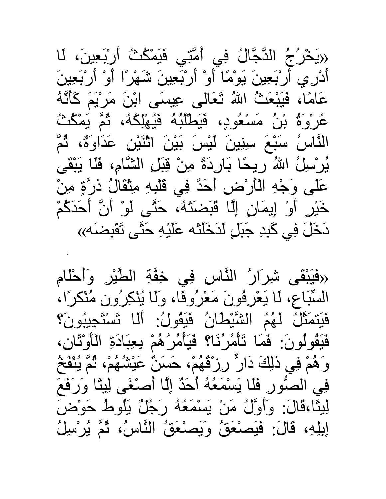دِيَخْرُجُ الدَّجَّالُ فِي أُمَّتِي فَيَمْكُثُ أَرْبَعِينَ، لَـا∢ أَدْرِي أَرْبَعِينَ يَوْمًا أَوْ أَرْبَعِينَ شَهْرًا أَوْ أَرْبَعِينَ عَامًا، فَيَبْعَثُ اللهُ تَعَالى عِيسَى ابْنَ مَرْيَمَ كَأَنَّهُ عُرْوَةٌ بْنُ مَسْعُودٍ، فَبَطَلْبُهُ فَيُهْلِكُهُ، ثُمَّ يَمْكُثُ الذَّاسُ سَبْعَ سِنِينَ لَيْسَ بَيْنَ اثْنَيْنِ عَدَاوَةٌ، ثُمَّ يُرِ ْسِلُ اللهُ رِيحًا بَارِدَةً مِنْ قِبَلِ الشَّامِ، فَلَا يَبْقَى عَلَى وَجْهِ الْأَرْضِ أَحَدٌ فِي قَلْبِهِ مِنْقَالُ ذَرَّةٍ مِنْ خَيْرِ أَو ْ إِيمَانِ إِلَّا قَبَضَتْهُ، حَتَّى لَو ْ أَنَّ أَحَدَكُمْ دَخَلَ فِي كَبِدِ جَبَلِ لَدَخَلَتْه عَلَيْهِ حَثَّى تَقْبِضَه}›

حِفَيَبْقَى شَيرَارُ النَّاسِ فِي خِقَّةِ الطَّيْرِ وَأَحْلَام السَّبَاعِ، لَمَا يَعْرِفُونَ مَعْرُوفَا، وَلَمَا يُنْكِرُون مُنْكراً، فَيَتمَثَّلُ لَهُمُ الشَّيْطَانُ فَيَقُولُ: أَلَّا تَسْتَجِيبُونَ؟ هَيَقُولُونَ: فَمَا تَأْمُرُنَا؟ فَيَأْمُرُ هُمْ بِعِبَادَةِ الْأَوْتَانِ، وَهُمْ فِي ذَلِكَ دَارٌ رِزْقُهُمْ، حَسَنٌ عَيْشُهُمْ، ثُمَّ يُنْفَخُ فِي الصُّورِ فَلَا يَسْمَعُهُ أَحَدٌ إِلَّا أَصنْغَى لِيثًا وَرَفَعَ لِيِتَا،ڤَالَ: وَأَوَّلُ مَنْ يَسْمَعُهُ رَجُلٌ يَلُوطُ حَوْضَ إِيلِهِ، قَالَ: فَيَصنْعَقُ لِلثَّاسُ، ثُمَّ يُرْسِلُ

and the second control of the second control of the second control of the second control of the second control of the second control of the second control of the second control of the second control of the second control o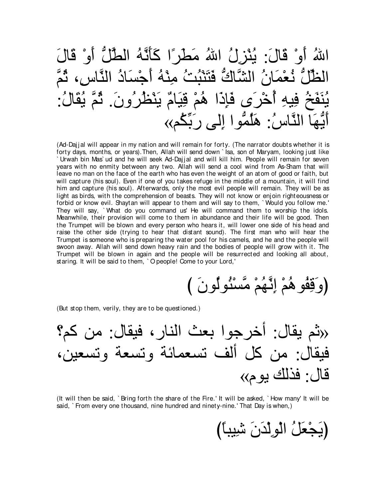(Ad-Daijal will appear in my nation and will remain for forty. (The narrator doubts whether it is forty days, months, or years). Then, Allah will send down `Isa, son of Maryam, looking just like Urwah bin Mas ud and he will seek Ad-Dajjal and will kill him. People will remain for seven years with no enmity between any two. Allah will send a cool wind from As-Sham that will leave no man on the face of the earth who has even the weight of an atom of good or faith, but will capture (his soul). Even if one of you takes refuge in the middle of a mountain, it will find him and capture (his soul). Afterwards, only the most evil people will remain. They will be as light as birds, with the comprehension of beasts. They will not know or enjoin righteousness or forbid or know evil. Shaytan will appear to them and will say to them, 'Would you follow me.' They will say, `What do you command us' He will command them to worship the idols. Meanwhile, their provision will come to them in abundance and their life will be good. Then the Trumpet will be blown and every person who hears it, will lower one side of his head and raise the other side (trying to hear that distant sound). The first man who will hear the Trumpet is someone who is preparing the water pool for his camels, and he and the people will swoon away. Allah will send down heavy rain and the bodies of people will grow with it. The Trumpet will be blown in again and the people will be resurrected and looking all about. staring. It will be said to them, 'O people! Come to your Lord,'

(But stop them, verily, they are to be questioned.)

(It will then be said, `Bring forth the share of the Fire.' It will be asked, `How many' It will be said, `From every one thousand, nine hundred and ninety-nine.' That Day is when,)

(يَجْعَلُ الْوِلْدَنَ شَبِيبًا)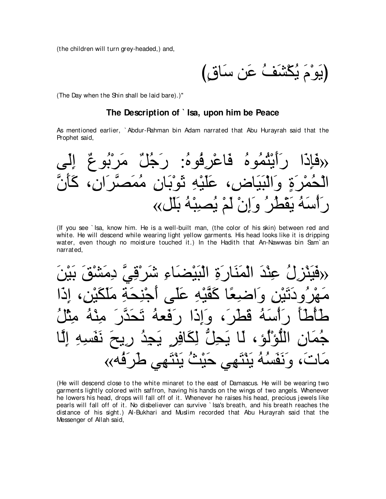(the children will turn grey-headed,) and,

(يَوْمَ يُكْشَفُ عَنِ سَاقٍ)

(The Day when the Shin shall be laid bare).)''

## **The Description of ` Isa, upon him be Peace**

As mentioned earlier, ` Abdur-Rahman bin Adam narrated that Abu Hurayrah said that the Prophet said,

ヴ∠ャ⌒ま ∀ネヲ⊥よ∇ゲ∠ョ ∀モ⊥ィ∠ケ :⊥ロヲ⊥プ⌒ゲ∇ハゅ∠プ ⊥ロヲ⊥ヨ⊥わ∇Α∠ぺ∠ケ や∠ク⌒み∠プ» zラ∠ほ∠ミ ∩⌒ラや∠ゲzダ∠ヨ⊥ョ ⌒ラゅ∠よ∇ヲ∠を ⌒ヮ∇Β∠ヤ∠ハ ∩⌒チゅ∠Β∠ら∇ャや∠ヱ ∃り∠ゲ∇ヨ⊥エ∇ャや «モ∠ヤ∠よ ⊥ヮ∇ら⌒ダ⊥Α ∇ユ∠ャ ∇ラ⌒ま∠ヱ ⊥ゲ⊥ト∇ボ∠Α ⊥ヮ∠シ∇ぺ∠ケ

(If you see ` Isa, know him. He is a well-built man, (the color of his skin) between red and white. He will descend while wearing light yellow garments. His head looks like it is dripping water, even though no moisture touched it.) In the Hadith that An-Nawwas bin Sam` an narrated,

∠リ∇Β∠よ ∠ペ∇ゼ∠ョ⌒キ zヶ⌒ホ∇ゲ∠セ ⌒¬ゅ∠ツ∇Β∠ら∇ャや ⌒り∠ケゅ∠レ∠ヨ∇ャや ∠ギ∇レ⌒ハ ⊥メ⌒ゴ∇レ∠Β∠プ» や∠ク⌒ま ∩⌒リ∇Β∠ム∠ヤ∠ョ ⌒る∠エ⌒レ∇ィ∠ぺ ヴ∠ヤ∠ハ ⌒ヮ∇Βzヘ∠ミ ゅ⇔バ⌒ッや∠ヱ ⌒リ∇Β∠ゎ∠キヱ⊥ゲ∇ヰ∠ョ ⊥モ∇ん⌒ョ ⊥ヮ∇レ⌒ョ ∠ケzギ∠エ∠ゎ ⊥ヮバ∠プ∠ケ や∠ク⌒ま∠ヱ ∩∠ゲ∠ト∠ホ ⊥ヮ∠シ∇ぺ∠ケ ∠ほ∠デ∇ほ∠デ ゅzャ⌒ま ⌒ヮ⌒ジ∠ヘ∠ル ∠ウΑ⌒ケ ⊥ギ⌒イ∠Α ∃ゲ⌒プゅ∠ム⌒ャ ぁモ⌒エ∠Α ゅ∠ャ ∩ぽ⊥ャ∇ぽぁヤャや ⌒ラゅ∠ヨ⊥ィ «ヮ⊥プ∠ゲ∠デ ヶ⌒ヰ∠わ∇レ∠Α ⊥ゑ∇Β∠ェ ヶ⌒ヰ∠わ∇レ∠Α ⊥ヮ⊥ジ∠ヘ∠ル∠ヱ ∩∠れゅ∠ョ

(He will descend close to the white minaret to the east of Damascus. He will be wearing two garments lightly colored with saffron, having his hands on the wings of two angels. Whenever he lowers his head, drops will fall off of it. Whenever he raises his head, precious jewels like pearls will fall off of it. No disbeliever can survive ` Isa's breath, and his breath reaches the distance of his sight.) Al-Bukhari and Muslim recorded that Abu Hurayrah said that the Messenger of Allah said,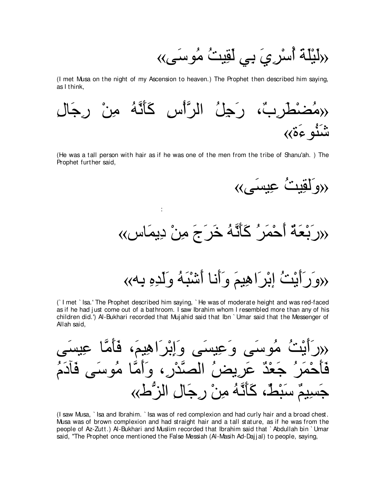«ヴ∠シヲ⊥ョ ⊥ろΒ⌒ボ∠ャ ヶ⌒よ ∠ヵ⌒ゲ∇シ⊥ぺ ∠る∠ヤ∇Β∠ャ»

(I met Musa on the night of my Ascension to heaven.) The Prophet then described him saying, as I think,



(He was a tall person with hair as if he was one of the men from the tribe of Shanu'ah. ) The Prophet further said,

**Service Service Service Service** 

«ヴ∠ジΒ⌒ハ ⊥ろΒ⌒ボャ∠ヱ»

«サゅ∠ヨΑ⌒キ ∇リ⌒ョ ∠ァ∠ゲ∠カ ⊥ヮzル∠ほ∠ミ ⊥ゲ∠ヨ∇ェ∠ぺ ∀る∠バ∇よ∠ケ»

«ヮ⌒よ ⌒ロ⌒ギ∠ャ∠ヱ ⊥ヮ∠ら∇セ∠ぺ ゅル∠ぺ∠ヱ ∠ユΒ⌒ワや∠ゲ∇よま ⊥ろ∇Α∠ぺ∠ケ∠ヱ»

(` I met ` Isa.' The Prophet described him saying, ` He was of moderate height and was red-faced as if he had just come out of a bathroom. I saw Ibrahim whom I resembled more than any of his children did.') Al-Bukhari recorded that Muj ahid said that Ibn ` Umar said that the Messenger of Allah said,

ヴ∠ジΒ⌒ハ ゅzョ∠ほ∠プ ∩∠ユΒ⌒ワや∠ゲ∇よ⌒ま∠ヱ ヴ∠ジΒ⌒ハ∠ヱ ヴ∠シヲ⊥ョ ⊥ろ∇Α∠ぺ∠ケ» ⊥ュ∠キべ∠プ ヴ∠シヲ⊥ョ ゅzョ∠ぺ∠ヱ ∩⌒ケ∇ギzダャや ⊥ヂΑ⌒ゲ∠ハ ∀ギ∇バ∠ィ ⊥ゲ∠ヨ∇ェ∠ほ∠プ «ヅぁゴャや ⌒メゅ∠ィ⌒ケ ∇リ⌒ョ ⊥ヮzル∠ほ∠ミ ∩∀テ∇ら∠シ ∀ユΒ⌒ジ∠ィ

(I saw Musa, ` Isa and Ibrahim. ` Isa was of red complexion and had curly hair and a broad chest. Musa was of brown complexion and had straight hair and a tall stature, as if he was from the people of Az-Zutt.) Al-Bukhari and Muslim recorded that Ibrahim said that ` Abdullah bin ` Umar said, "The Prophet once mentioned the False Messiah (Al-Masih Ad-Dajjal) to people, saying,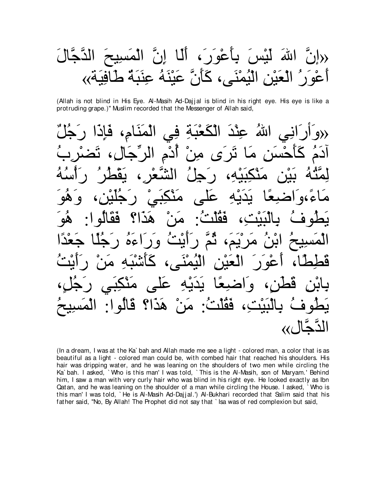اللهَ لَيْسَ بِأَعْوَرَ ، أَلَمْا إِنَّ الْمَسِيحَ الدَّجَّالَ أَعْوَرَ ۗ الْعَبْرِ ٰ الْبُمْنَى ، كَأَنَّ عَبْنَهُ عِنَبَةٌ طَافِيَةٌ ››

(Allah is not blind in His Eye. Al-Masih Ad-Dajjal is blind in his right eye. His eye is like a protruding grape.)" Muslim recorded that the Messenger of Allah said,

﴿ وَأَرَانِي اللَّهُ عِنْدَ الْكَعْبَةِ فِي الْمَنَامِ، فَإِذَا رَجَا الًا ً ِ<br>اُدْمِ مَا ثَرَى مِنْ تكيته الشعر مَنْكِبَى اء ،و  $\rightarrow$  $\triangleleft$ فَقَلْتُ٠ <u>ەە</u>  $\mathbf{Y}$ ھد ها\*،  $\zeta$ ≉ ¤<br>لكم ا ءهُ  $\sqrt{9}$ الْبُمْنَى،  $\mathcal{L}% _{0}$ العدن منكبى بدبہِ علی ىعا و اضا  $\epsilon$ قالو ا: بِالْبَيْتِ، فَقُلْتُ: مَنْ هَذَا؟ ے ف حال،

(In a dream, I was at the Ka`bah and Allah made me see a light - colored man, a color that is as beautiful as a light - colored man could be, with combed hair that reached his shoulders. His hair was dripping water, and he was leaning on the shoulders of two men while circling the Ka' bah. I asked, 'Who is this man' I was told, 'This is the AI-Masih, son of Maryam.' Behind him, I saw a man with very curly hair who was blind in his right eye. He looked exactly as Ibn Qatan, and he was leaning on the shoulder of a man while circling the House. I asked, `Who is this man' I was told, `He is Al-Masih Ad-Dajjal.') Al-Bukhari recorded that Salim said that his father said, "No, By Allah! The Prophet did not say that ` Isa was of red complexion but said,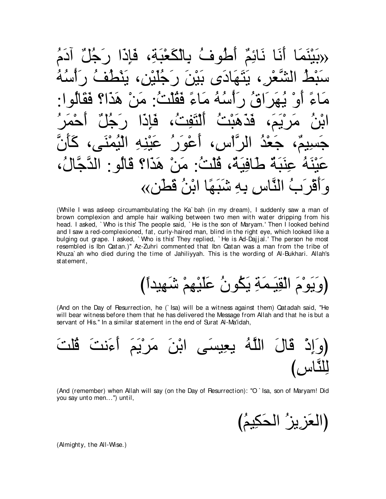⊥ュ∠キへ ∀モ⊥ィ∠ケ や∠ク⌒み∠プ ∩⌒る∠ら∇バ∠ム∇ャゅ⌒よ ⊥フヲ⊥デ∠ぺ ∀ユ⌒もゅ∠ル ゅ∠ル∠ぺ ゅ∠ヨ∠レ∇Β∠よ» ⊥ヮ⊥シ∇ぺ∠ケ ⊥ブ⊥ト∇レ∠Α ∩⌒リ∇Β∠ヤ⊥ィ∠ケ ∠リ∇Β∠よ ン∠キゅ∠ヰ∠わ∠Α ∩⌒ゲ∇バzゼャや ⊥テ∇ら∠シ :やヲ⊥ャゅ∠ボ∠プ ∨や∠グ∠ワ ∇リ∠ョ :⊥ろ∇ヤ⊥ボ∠プ ⇔¬ゅ∠ョ ⊥ヮ⊥シ∇ぺ∠ケ ⊥ベや∠ゲ∠ヰ⊥Α ∇ヱ∠ぺ ⇔¬ゅ∠ョ ⊥ゲ∠ヨ∇ェ∠ぺ ∀モ⊥ィ∠ケ や∠ク⌒み∠プ ∩⊥ろ⌒ヘ∠わ∇ャ∠ぺ ⊥ろ∇ら∠ワ∠グ∠プ ∩∠ユ∠Α∇ゲ∠ョ ⊥リ∇よや zラ∠ほ∠ミ ∩ヴ∠レ∇ヨ⊥Β∇ャや ⌒ヮ⌒レ∇Β∠ハ ⊥ケ∠ヲ∇ハ∠ぺ ∩⌒サ∇やzゲャや ⊥ギ∇バ∠ィ ∩∀ユΒ⌒ジ∠ィ ∩⊥メゅzィzギャや :ヲ⊥ャゅ∠ホ ∨や∠グ∠ワ ∇リ∠ョ :⊥ろ∇ヤ⊥ホ ∩∀る∠Β⌒プゅ∠デ ∀る∠ら∠レ⌒ハ ⊥ヮ∠レ∇Β∠ハ «リ∠ト∠ホ ⊥リ∇よや ゅ⇔ヰ∠ら∠セ ⌒ヮ⌒よ ⌒サゅzレャや ⊥ゆ∠ゲ∇ホ∠ぺ∠ヱ

(While I was asleep circumambulating the Ka` bah (in my dream), I suddenly saw a man of brown complexion and ample hair walking between two men with water dripping from his head. I asked, ` Who is this' The people said, ` He is the son of Maryam.' Then I looked behind and I saw a red-complexioned, fat, curly-haired man, blind in the right eye, which looked like a bulging out grape. I asked, `Who is this' They replied, `He is Ad-Dajjal.' The person he most resembled is Ibn Qatan.)'' Az-Zuhri commented that Ibn Qatan was a man from the tribe of Khuza` ah who died during the time of Jahiliyyah. This is the wording of Al-Bukhari. Allah's statement,

び⇔やギΒ⌒ヰ∠セ ∇ユ⌒ヰ∇Β∠ヤ∠ハ ⊥ラヲ⊥ム∠Α ⌒る∠ヨ⇒∠Β⌒ボ∇ャや ∠ュ∇ヲ∠Α∠ヱぴ

(And on the Day of Resurrection, he (` Isa) will be a witness against them) Qatadah said, "He will bear witness before them that he has delivered the Message from Allah and that he is but a servant of His." In a similar statement in the end of Surat Al-Ma'idah,

∠ろヤ⊥ホ ∠ろル∠¬∠ぺ ∠ユ∠Α∇ゲ∠ョ ∠リ∇よや ヴ∠ジΒ⌒バΑ ⊥ヮzヤャや ∠メゅ∠ホ ∇ク⌒ま∠ヱぴ び⌒サゅzレヤ⌒ャ

(And (remember) when Allah will say (on the Day of Resurrection): "O ` Isa, son of Maryam! Did you say unto men...'') until,

び⊥ユΒ⌒ム∠エャや ⊥ゴΑ⌒ゴ∠バャやぴ

(Almighty, the All-Wise.)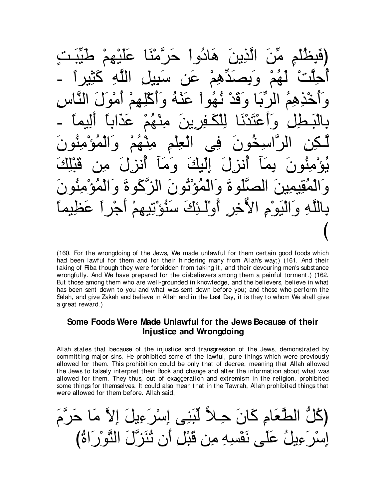الَّذِينَ هَادُو اُ حَرِّمْنَا عَلَيْهِمْ و يصدَ هِمَّ صَنِ سَدِ ہ َقَدْ نُعُهِ أَ عَنْهُ وَ أَكَّا بِالْبَـطِّلِ وَأَعْتَدْنَا لِلْكَـفِرِينَ مِنْهُمْ عَذَاباً أَلِيماً ـ لَّكِنِ الرَّاسِخُونَ فِي الْعِلْمِ مِنْهُمْ وَالْمُؤْمِنُونَ بُوْمِنُونَ بِمَا أَنزِلَ إِلَيْكَ وَمَا أَنزِلَ مِن قَبْلِكَ عَّلُو ةَ وَ الْمُؤْثَّوِ نَ الزِّكَو ةَ وَ الْمَوَّه بِاللَّهِ وَالْيَوْمِ الأَخِرِ ِ أَوْلَئِكَ سَنُّوْتِيمِ び

(160. For the wrongdoing of the Jews, We made unlawful for them certain good foods which had been lawful for them and for their hindering many from Allah's way;) (161. And their taking of Riba though they were forbidden from taking it, and their devouring men's substance wrongfully. And We have prepared for the disbelievers among them a painful torment.) (162. But those among them who are well-grounded in knowledge, and the believers, believe in what has been sent down to you and what was sent down before you; and those who perform the Salah, and give Zakah and believe in Allah and in the Last Day, it is they to whom We shall give a great reward.)

## **Some Foods Were Made Unlawful for the Jews Because of their Injustice and Wrongdoing**

Allah states that because of the inj ustice and transgression of the Jews, demonstrated by committing major sins, He prohibited some of the lawful, pure things which were previously allowed for them. This prohibition could be only that of decree, meaning that Allah allowed the Jews to falsely interpret their Book and change and alter the information about what was allowed for them. They thus, out of exaggeration and extremism in the religion, prohibited some things for themselves. It could also mean that in the Tawrah, Allah prohibited things that were allowed for them before. Allah said,

(كُلُّ الطَّعَامِ كَانَ حِـلاً لِّبَنِي إِسْرَءِيلَ إِلاَّ مَا حَرَّمَ اِسْر َءِيلُ عَلَى نَفْسِهِ مِن قَبْلِ أَن تُنَزَّلَ التَّوْرَاةُ)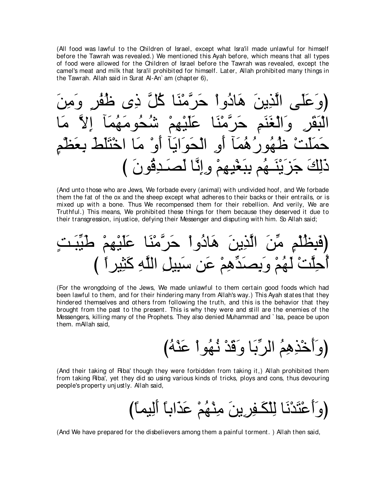(All food was lawful to the Children of Israel, except what Isra'il made unlawful for himself before the Tawrah was revealed.) We mentioned this Ayah before, which means that all types of food were allowed for the Children of Israel before the Tawrah was revealed, except the camel's meat and milk that Isra'il prohibited for himself. Later, Allah prohibited many things in the Tawrah. Allah said in Surat Al-An` am (chapter 6),

∠リ⌒ョ∠ヱ ∃ゲ⊥ヘ⊥ニ ン⌒ク zモ⊥ミ ゅ∠レ∇ョzゲ∠ェ ∇やヱ⊥キゅ∠ワ ∠リΑ⌒グzャや ヴ∠ヤ∠ハ∠ヱぴ ゅ∠ョ zΙ⌒ま べ∠ヨ⊥ヰ∠ョヲ⊥エ⊥セ ∇ユ⌒ヰ∇Β∠ヤ∠ハ ゅ∠レ∇ョzゲ∠ェ ⌒ユ∠レ∠ピ∇ャや∠ヱ ⌒ゲ∠ボ∠ら∇ャや ∃ユ∇ヌ∠バ⌒よ ∠テ∠ヤ∠わ∇カや ゅ∠ョ ∇ヱ∠ぺ べ∠Αや∠ヲ∠エ∇ャや ⌒ヱ∠ぺ べ∠ヨ⊥ワ⊥ケヲ⊥ヰ⊥ニ ∇ろ∠ヤ∠ヨ∠ェ び ∠ラヲ⊥ホ⌒ギ⇒∠ダ∠ャ ゅzル⌒ま⌒ヱ ∇ユ⌒ヰ⌒Β∇ピ∠ら⌒よ ユ⊥ヰ⇒∠レ∇Α∠ゴ∠ィ ∠マ⌒ャ∠ク

(And unto those who are Jews, We forbade every (animal) with undivided hoof, and We forbade them the fat of the ox and the sheep except what adheres to their backs or their entrails, or is mixed up with a bone. Thus We recompensed them for their rebellion. And verily, We are Truthful.) This means, We prohibited these things for them because they deserved it due to their transgression, inj ustice, defying their Messenger and disputing with him. So Allah said;

∃ろ⇒∠らあΒ∠デ ∇ユ⌒ヰ∇Β∠ヤ∠ハ ゅ∠レ∇ョzゲ∠ェ ∇やヱ⊥キゅ∠ワ ∠リΑ⌒グzャや ∠リあョ ∃ユ∇ヤ⊥ヌ⌒ら∠プぴ び ⇔やゲΒ⌒ん∠ミ ⌒ヮzヤャや ⌒モΒ⌒ら∠シ リ∠ハ ∇ユ⌒ワあギ∠ダ⌒よ∠ヱ ∇ユ⊥ヰ∠ャ ∇ろzヤ⌒ェ⊥ぺ

(For the wrongdoing of the Jews, We made unlawful to them certain good foods which had been lawful to them, and for their hindering many from Allah's way.) This Ayah states that they hindered themselves and others from following the truth, and this is the behavior that they brought from the past to the present. This is why they were and still are the enemies of the Messengers, killing many of the Prophets. They also denied Muhammad and ` Isa, peace be upon them. mAllah said,

び⊥ヮ∇レ∠ハ ∇やヲ⊥ヰ⊥ル ∇ギ∠ホ∠ヱ ゅ∠よあゲャや ⊥ユ⌒ワ⌒グ∇カ∠ぺ∠ヱぴ

(And their taking of Riba' though they were forbidden from taking it,) Allah prohibited them from taking Riba', yet they did so using various kinds of tricks, ploys and cons, thus devouring people's property unj ustly. Allah said,

び⇔ゅヨΒ⌒ャ∠ぺ ⇔ゅよや∠グ∠ハ ∇ユ⊥ヰ∇レ⌒ョ ∠リΑ⌒ゲ⌒ヘ⇒∠ム∇ヤ⌒ャ ゅ∠ル∇ギ∠わ∇ハ∠ぺ∠ヱぴ

(And We have prepared for the disbelievers among them a painful torment. ) Allah then said,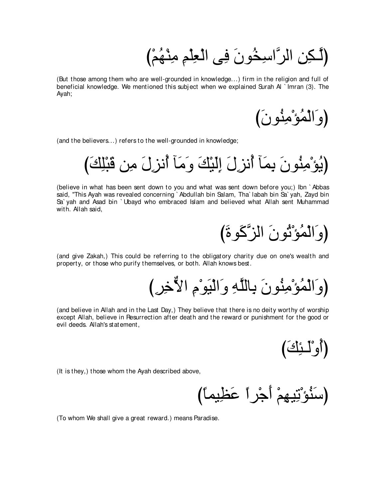أَلَّكِن الرَّاسِخُونَ فِي الْعِلْمِ مِنْهُمْ)

(But those among them who are well-grounded in knowledge...) firm in the religion and full of beneficial knowledge. We mentioned this subject when we explained Surah Al ` Imran (3). The Ayah;

(وَالْمُؤْمِنُونَ)

(and the believers...) refers to the well-grounded in knowledge;

﴿يُوْمِئُونَ بِمَاۤ أُنزِلَ إِلَيْكَ وَمَاۤ أَنزِلَ مِن قَبْلِكَ)

(believe in what has been sent down to you and what was sent down before you;) Ibn ` Abbas said, "This Ayah was revealed concerning ` Abdullah bin Salam, Tha` labah bin Sa` yah, Zayd bin Sa` yah and Asad bin ` Ubayd who embraced Islam and believed what Allah sent Muhammad with. Allah said,

(وَ الْمُؤ<sup>ِ</sup>ثُو نَ الزَّكَوِ ةَ)

(and give Zakah,) This could be referring to the obligatory charity due on one's wealth and property, or those who purify themselves, or both. Allah knows best.

(وَالْمُؤْمِنُونَ بِاللَّهِ وَالْيَوْمِ الأَخِرِ

(and believe in Allah and in the Last Day,) They believe that there is no deity worthy of worship except Allah, believe in Resurrection after death and the reward or punishment for the good or evil deeds. Allah's statement,

(أو°ليئِكَ)

(It is they,) those whom the Ayah described above,

(سَنُوْتِيهِمْ أَجْرٍ أَ عَظِيماً)

(To whom We shall give a great reward.) means Paradise.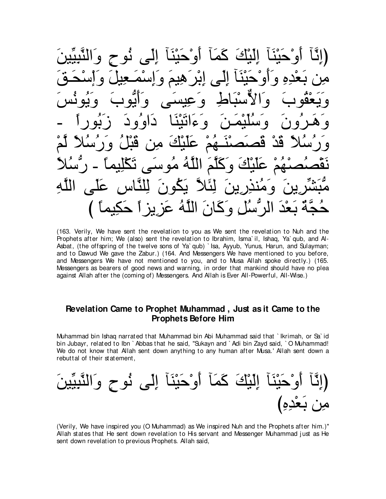بِّكَ كَمَأَ او چېدنا هيم و  $\bullet$  $\boldsymbol{\mathsf{d}}$ مه  $\mathbf{F}$ ຳ ລັ  $\overline{\mathbf{L}}$ ، وكَانَ اللَّهُ عَزِيز

(163. Verily, We have sent the revelation to you as We sent the revelation to Nuh and the Prophets after him; We (also) sent the revelation to Ibrahim, Isma'il, Ishaq, Ya'qub, and Al-Asbat, (the offspring of the twelve sons of Ya`qub) `Isa, Ayyub, Yunus, Harun, and Sulayman; and to Dawud We gave the Zabur.) (164. And Messengers We have mentioned to you before, and Messengers We have not mentioned to you, and to Musa Allah spoke directly.) (165. Messengers as bearers of good news and warning, in order that mankind should have no plea against Allah after the (coming of) Messengers. And Allah is Ever All-Powerful, All-Wise.)

# Revelation Came to Prophet Muhammad, Just as it Came to the **Prophets Before Him**

Muhammad bin Ishaq narrated that Muhammad bin Abi Muhammad said that `lkrimah, or Sa`id bin Jubayr, related to Ibn `Abbas that he said, "Sukayn and `Adi bin Zayd said, `O Muhammad! We do not know that Allah sent down anything to any human after Musa.' Allah sent down a rebuttal of their statement,

(Verily, We have inspired you (O Muhammad) as We inspired Nuh and the Prophets after him.)" Allah states that He sent down revelation to His servant and Messenger Muhammad just as He sent down revelation to previous Prophets. Allah said,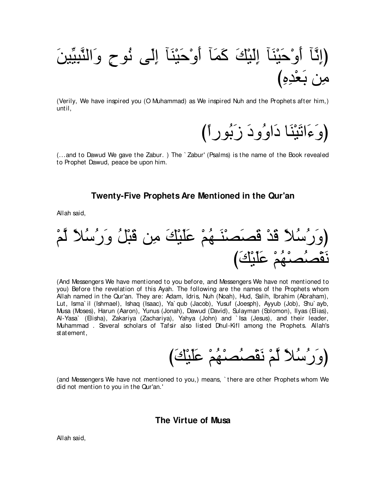(Verily, We have inspired you (O Muhammad) as We inspired Nuh and the Prophets after him,) until.

(وَعَاتَيْنَا دَاوُودَ زَبُورٍ أَ)

(...and to Dawud We gave the Zabur. ) The `Zabur' (Psalms) is the name of the Book revealed to Prophet Dawud, peace be upon him.

# Twenty-Five Prophets Are Mentioned in the Qur'an

Allah said.

(And Messengers We have mentioned to you before, and Messengers We have not mentioned to you) Before the revelation of this Avah. The following are the names of the Prophets whom Allah named in the Qur'an. They are: Adam, Idris, Nuh (Noah), Hud, Salih, Ibrahim (Abraham), Lut, Isma'il (Ishmael), Ishaq (Isaac), Ya'qub (Jacob), Yusuf (Joesph), Ayyub (Job), Shu'ayb, Musa (Moses), Harun (Aaron), Yunus (Jonah), Dawud (David), Sulayman (Solomon), Ilyas (Eias), Al-Yasa` (Elisha), Zakariya (Zachariya), Yahya (John) and `Isa (Jesus), and their leader, Muhammad . Several scholars of Tafsir also listed Dhul-Kifl among the Prophets. Allah's statement.

(and Messengers We have not mentioned to you,) means, `there are other Prophets whom We did not mention to you in the Qur'an.'

### The Virtue of Musa

Allah said.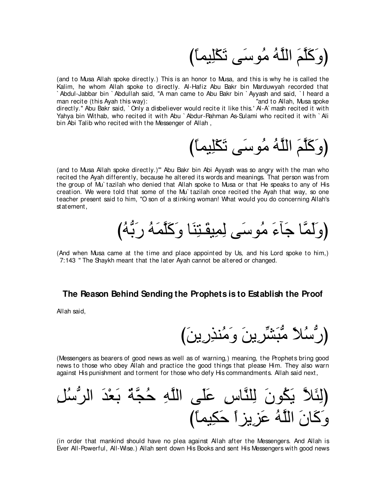(وَكَلَّمَ اللَّهُ مُوسَى تَكْلِيماً)

(and to Musa Allah spoke directly.) This is an honor to Musa, and this is why he is called the Kalim, he whom Allah spoke to directly. Al-Hafiz Abu Bakr bin Marduwyah recorded that ` Abdul-Jabbar bin ` Abdullah said, "A man came to Abu Bakr bin ` Ayyash and said, ` I heard a man recite (this Ayah this way): "and to Allah, Musa spoke directly.'' Abu Bakr said, ` Only a disbeliever would recite it like this.' Al-A` mash recited it with Yahya bin Withab, who recited it with Abu ` Abdur-Rahman As-Sulami who recited it with ` Ali bin Abi Talib who recited with the Messenger of Allah ,

(وَكَلَّمَ اللَّهُ مُوسَى تَكْلِيماً)

(and to Musa Allah spoke directly.)''' Abu Bakr bin Abi Ayyash was so angry with the man who recited the Ayah differently, because he altered its words and meanings. That person was from the group of Mu` tazilah who denied that Allah spoke to Musa or that He speaks to any of His creation. We were told that some of the Mu` tazilah once recited the Ayah that way, so one teacher present said to him, "O son of a stinking woman! What would you do concerning Allah's statement,

(وَلَمَّا جَأَءَ مُوسَى لِمِيقَـتِنَا وَكَلَّمَهُ رَبُّهُ)

(And when Musa came at the time and place appointed by Us, and his Lord spoke to him,) 7:143 '' The Shaykh meant that the later Ayah cannot be altered or changed.

#### **The Reason Behind Sending the Prophets is to Establish the Proof**

Allah said,

(رِ مُّسُلاً هُبَشَّرِينَ وَمُنذِرِينَ)

(Messengers as bearers of good news as well as of warning,) meaning, the Prophets bring good news to those who obey Allah and practice the good things that please Him. They also warn against His punishment and torment for those who defy His commandments. Allah said next,

(لِئَلاَ يَكُونَ لِلنَّاسِ عَلَى اللَّهِ حُجَّةٌ بَعْدَ الرُّسُلِ وكَانَ اللَّهُ عَزِيزٍ أَ حَكِيماً)

(in order that mankind should have no plea against Allah after the Messengers. And Allah is Ever All-Powerful, All-Wise.) Allah sent down His Books and sent His Messengers with good news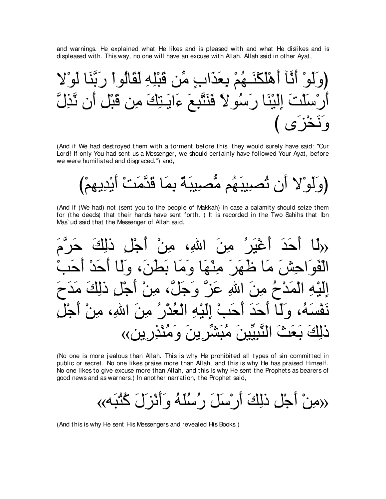and warnings. He explained what He likes and is pleased with and what He dislikes and is displeased with. This way, no one will have an excuse with Allah. Allah said in other Ayat,

(And if We had destroyed them with a torment before this, they would surely have said: "Our Lord! If only You had sent us a Messenger, we should certainly have followed Your Ayat, before we were humiliated and disgraced.") and,



(And if (We had) not (sent you to the people of Makkah) in case a calamity should seize them for (the deeds) that their hands have sent forth.) It is recorded in the Two Sahihs that Ibn Mas' ud said that the Messenger of Allah said,

(No one is more jealous than Allah. This is why He prohibited all types of sin committed in public or secret. No one likes praise more than Allah, and this is why He has praised Himself. No one likes to give excuse more than Allah, and this is why He sent the Prophets as bearers of good news and as warners.) In another narration, the Prophet said,

(And this is why He sent His Messengers and revealed His Books.)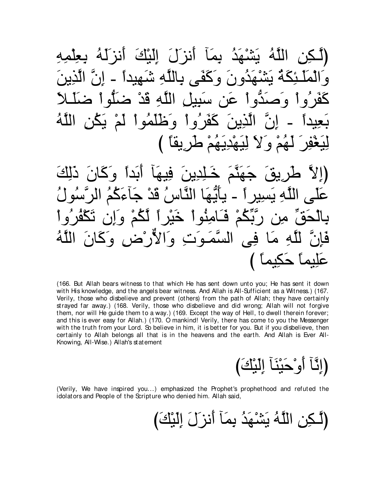اللَّهُ بَشْهَدُ بِمَاۤ أَنزَلَ اِلَيْكَ أَنزَلَهُ بِعِلْه لَّـئِكَةٌ يَشْهَدُو نَ وكَفَي بِاللَّهِ شَهِيداً \_ اِنَّ َهِ أَ عَنٍ سَبِيلٍ اللَّهِ قُدْ ضَلَّهِ أَ ضَلَّا الَّذِينَ كَفَرُواْ وَظُلَمُواْ لَمْ يَكْنِ اللَّهُ لِيَعْفِرَ لَـهُمْ وَلاَ لِيَهْدِيَهُمْ طَرِيقاً )

(إِلاَّ طَرِيقَ جَهَنَّمَ خَـلِدِينَ فِيهَاۤ أَبَداً و<sup>َ</sup>كَانَ ذَلِكَ عَلّـے اللَّهِ بَسِير أ \_ يأَيَّـهَا النَّاسُ قَدْ جَاءَكُمُ الرَّسُو حَقِّ مِن رَّبِّكُمْ فَـَامِثُواْ خَيْراً لَّكُمْ وَإِن فَإِنَّ لَلَّهِ مَا فِي السَّمَوِيَّتِ وَالأَرْضِ وَكَانَ عَلِيماً حَكِيماً

(166. But Allah bears witness to that which He has sent down unto you; He has sent it down with His knowledge, and the angels bear witness. And Allah is All-Sufficient as a Witness.) (167. Verily, those who disbelieve and prevent (others) from the path of Allah; they have certainly strayed far away.) (168. Verily, those who disbelieve and did wrong; Allah will not forgive them, nor will He guide them to a way.) (169. Except the way of Hell, to dwell therein forever; and this is ever easy for Allah.) (170. O mankind! Verily, there has come to you the Messenger with the truth from your Lord. So believe in him, it is better for you. But if you disbelieve, then certainly to Allah belongs all that is in the heavens and the earth. And Allah is Ever All-Knowing, All-Wise.) Allah's statement

(إِنَّا أَوْ حَيْنَاً إِلَيْكَ)

(Verily, We have inspired you...) emphasized the Prophet's prophethood and refuted the idolators and People of the Scripture who denied him. Allah said,

(أَلَـكِنِ اللَّـهُ يَشْـهَدُ بِمَآ أَنزَ لَ اِلَّذِكَ)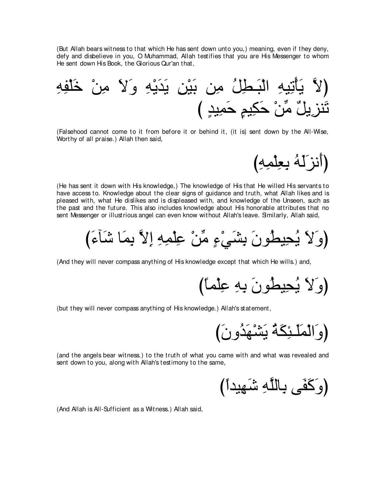(But Allah bears witness to that which He has sent down unto you,) meaning, even if they deny, defy and disbelieve in you. O Muhammad, Allah testifies that you are His Messenger to whom He sent down His Book, the Glorious Qur'an that,

(Falsehood cannot come to it from before it or behind it, (it is) sent down by the All-Wise, Worthy of all praise.) Allah then said,

(أَنزَلَهُ بِعِلْمِهِ)

(He has sent it down with His knowledge,) The knowledge of His that He willed His servants to have access to. Knowledge about the clear signs of guidance and truth, what Allah likes and is pleased with, what He dislikes and is displeased with, and knowledge of the Unseen, such as the past and the future. This also includes knowledge about His honorable attributes that no sent Messenger or illustrious angel can even know without Allah's leave. Smilarly, Allah said,

(And they will never compass anything of His knowledge except that which He wills.) and,

(وَلاَ يُحِيطُونَ بِهِ عِلْمًا)

(but they will never compass anything of His knowledge.) Allah's statement,

(وَالْمَلَـئِكَةُ يَشْهَدُونَ)

(and the angels bear witness.) to the truth of what you came with and what was revealed and sent down to you, along with Allah's testimony to the same,

(وَكَفَى بِاللَّهِ شَهِيداً)

(And Allah is All-Sufficient as a Witness.) Allah said,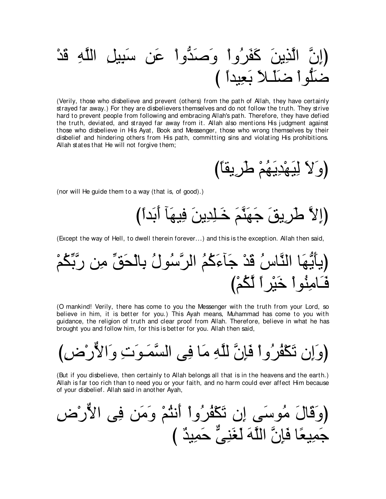∇ギ∠ホ ⌒ヮzヤャや ⌒モΒ⌒ら∠シ リ∠ハ ∇やヱぁギ∠タ∠ヱ ∇やヱ⊥ゲ∠ヘ∠ミ ∠リΑ⌒グzャや zラ⌒まぴ び ⇔やギΒ⌒バ∠よ ∠Κ⇒∠ヤ∠ッ ∇やヲぁヤ∠ッ

(Verily, those who disbelieve and prevent (others) from the path of Allah, they have certainly strayed far away.) For they are disbelievers themselves and do not follow the truth. They strive hard to prevent people from following and embracing Allah's path. Therefore, they have defied the truth, deviated, and strayed far away from it. Allah also mentions His j udgment against those who disbelieve in His Ayat, Book and Messenger, those who wrong themselves by their disbelief and hindering others from His path, committing sins and violating His prohibitions. Allah states that He will not forgive them;

(وَلاَ لِيَهْدِيَهُمْ طَرِيقاً)

(nor will He guide them to a way (that is, of good).)

び⇔やギ∠よ∠ぺ べ∠ヰΒ⌒プ ∠リΑ⌒ギ⌒ヤ⇒∠カ ∠ユzレ∠ヰ∠ィ ∠ペΑ⌒ゲ∠デ zΙ⌒まぴ

(Except the way of Hell, to dwell therein forever...) and this is the exception. Allah then said,

∇ユ⊥ムあよzケ リ⌒ョ あペ∠エ∇ャゅ⌒よ ⊥メヲ⊥シzゲャや ⊥ユ⊥ミ∠¬べ∠ィ ∇ギ∠ホ ⊥サゅzレャや ゅ∠ヰぁΑ∠ほΑぴ び∇ユ⊥ムzャ ⇔やゲ∇Β∠カ ∇やヲ⊥レ⌒ョゅ∠⇒∠プ

(O mankind! Verily, there has come to you the Messenger with the truth from your Lord, so believe in him, it is better for you.) This Ayah means, Muhammad has come to you with guidance, the religion of truth and clear proof from Allah. Therefore, believe in what he has brought you and follow him, for this is better for you. Allah then said,

び⌒チ∇ケxΙや∠ヱ ⌒れ∠ヲ⇒∠ヨzジャや ヴ⌒プ ゅ∠ョ ⌒ヮzヤャ zラ⌒み∠プ ∇やヱ⊥ゲ⊥ヘ∇ム∠ゎ ラ⌒ま∠ヱぴ

(But if you disbelieve, then certainly to Allah belongs all that is in the heavens and the earth.) Allah is far too rich than to need you or your faith, and no harm could ever affect Him because of your disbelief. Allah said in another Ayah,

⌒チ∇ケxΙや ヴ⌒プ リ∠ョ∠ヱ ∇ユ⊥わル∠ぺ ∇やヱ⊥ゲ⊥ヘ∇ム∠ゎ ラ⌒ま ヴ∠シヲ⊥ョ ∠メゅ∠ホ∠ヱぴ び ∀ギΒ⌒ヨ∠ェ xヴ⌒レ∠ピ∠ャ ∠ヮzヤャや zラ⌒み∠プ ゅ⇔バΒ⌒ヨ∠ィ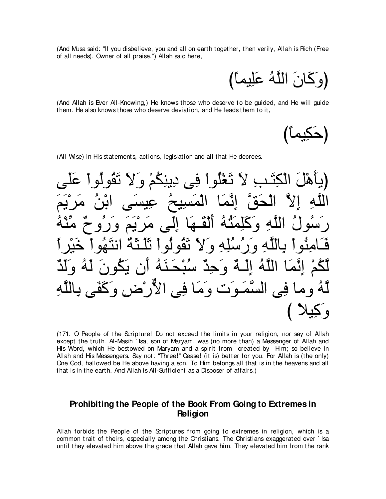(And Musa said: "If you disbelieve, you and all on earth together, then verily, Allah is Rich (Free of all needs), Owner of all praise.") Allah said here,

(وَكَانَ اللَّهُ عَلِيماً)

(And Allah is Ever All-Knowing,) He knows those who deserve to be guided, and He will guide them. He also knows those who deserve deviation, and He leads them to it,

(حكيم

(All-Wise) in His statements, actions, legislation and all that He decrees.

تَغْلَو ا في دينِكُمْ و  $\ddot{\bullet}$  $\mathbf{a}$  $\bullet$ نقه له ا لله ه  $\boldsymbol{d}$  $\mathbf{1}$ حڏ  $\mathcal{A}$  $\boldsymbol{\lambda}$  $\overline{\mathbf{r}}$  $\bullet$ الآرتض وكَفّ في فے ، السموت ) و م

(171. O People of the Scripture! Do not exceed the limits in your religion, nor say of Allah except the truth. Al-Masih `Isa, son of Maryam, was (no more than) a Messenger of Allah and His Word, which He bestowed on Maryam and a spirit from created by Him; so believe in Allah and His Messengers. Say not: "Three!" Cease! (it is) better for you. For Allah is (the only) One God, hallowed be He above having a son. To Him belongs all that is in the heavens and all that is in the earth. And Allah is All-Sufficient as a Disposer of affairs.)

## Prohibiting the People of the Book From Going to Extremes in Religion

Allah forbids the People of the Scriptures from going to extremes in religion, which is a common trait of theirs, especially among the Christians. The Christians exaggerated over `lsa until they elevated him above the grade that Allah gave him. They elevated him from the rank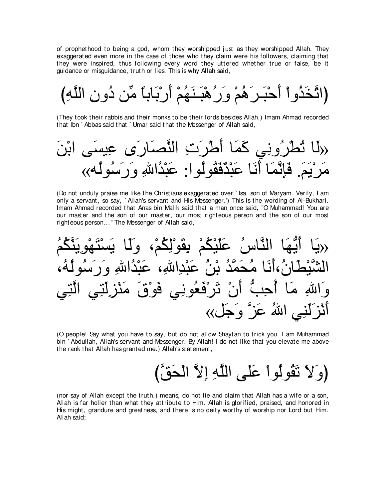of prophethood to being a god, whom they worshipped just as they worshipped Allah. They exaggerated even more in the case of those who they claim were his followers, claiming that they were inspired, thus following every word they uttered whether true or false, be it quidance or misquidance, truth or lies. This is why Allah said,

(اتَّخَذُواْ أَحْبَـرَهُمْ وَرُهْبَـنَهُمْ أَرْبَاباً مِّن ذُونِ اللَّهِ)

(They took their rabbis and their monks to be their lords besides Allah.) Imam Ahmad recorded that Ibn `Abbas said that `Umar said that the Messenger of Allah said,

(Do not unduly praise me like the Christians exaggerated over `Isa, son of Maryam. Verily, I am only a servant, so say, `Allah's servant and His Messenger.') This is the wording of Al-Bukhari. Imam Ahmad recorded that Anas bin Malik said that a man once said. "O Muhammad! You are our master and the son of our master, our most righteous person and the son of our most righteous person..." The Messenger of Allah said,

(O people! Say what you have to say, but do not allow Shaytan to trick you. I am Muhammad bin `Abdullah, Allah's servant and Messenger. By Allah! I do not like that you elevate me above the rank that Allah has granted me.) Allah's statement,

(nor say of Allah except the truth.) means, do not lie and claim that Allah has a wife or a son. Allah is far holier than what they attribute to Him. Allah is glorified, praised, and honored in His might, grandure and greatness, and there is no deity worthy of worship nor Lord but Him. Allah said: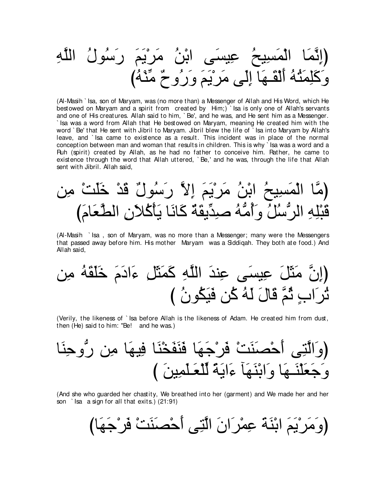(Al-Masih ` Isa, son of Maryam, was (no more than) a Messenger of Allah and His Word, which He bestowed on Maryam and a spirit from created by Him;) Isa is only one of Allah's servants and one of His creatures. Allah said to him, `Be', and he was, and He sent him as a Messenger. Isa was a word from Allah that He bestowed on Maryam, meaning He created him with the word `Be' that He sent with Jibril to Maryam. Jibril blew the life of `Isa into Maryam by Allah's leave, and `Isa came to existence as a result. This incident was in place of the normal conception between man and woman that results in children. This is why `lsa was a word and a Ruh (spirit) created by Allah, as he had no father to conceive him. Rather, he came to existence through the word that Allah uttered, `Be,' and he was, through the life that Allah sent with Jibril. Allah said,

(Al-Masih `Isa, son of Maryam, was no more than a Messenger; many were the Messengers that passed away before him. His mother Maryam was a Sddiqah. They both ate food.) And Allah said,

(Verily, the likeness of `lsa before Allah is the likeness of Adam. He created him from dust, then (He) said to him: "Be! and he was.)



(And she who guarded her chastity, We breathed into her (garment) and We made her and her son `Isa a sign for all that exits.) (21:91)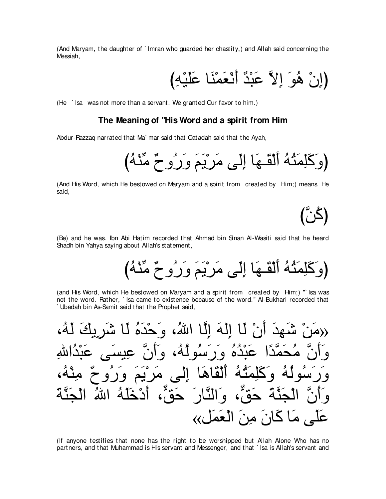(And Maryam, the daughter of ` Imran who guarded her chastity,) and Allah said concerning the Messiah,

び⌒ヮ∇Β∠ヤ∠ハ ゅ∠レ∇ヨ∠バ∇ル∠ぺ ∀ギ∇ら∠ハ zΙ⌒ま ∠ヲ⊥ワ ∇ラ⌒まぴ

(ڭنّ)

(He ` Isa was not more than a servant. We granted Our favor to him.)

#### **The Meaning of "His Word and a spirit from Him**

Abdur-Razzaq narrated that Ma` mar said that Qatadah said that the Ayah,



(And His Word, which He bestowed on Maryam and a spirit from created by Him;) means, He said,

(Be) and he was. Ibn Abi Hatim recorded that Ahmad bin Sinan Al-Wasiti said that he heard Shadh bin Yahya saying about Allah's statement,

び⊥ヮ∇レあョ ∀ゥヱ⊥ケ∠ヱ ∠ユ∠Α∇ゲ∠ョ ヴ∠ャ⌒ま ゅ∠ヰ⇒∠ボ∇ャ∠ぺ ⊥ヮ⊥わ∠ヨ⌒ヤ∠ミ∠ヱぴ

(and His Word, which He bestowed on Maryam and a spirit from created by Him;) "` Isa was not the word. Rather, ` Isa came to existence because of the word.'' Al-Bukhari recorded that ` Ubadah bin As-Samit said that the Prophet said,

ِ شَـَهِدَ أَنْ لَـا اِلَـهَ اِلَّـا اللهُ، و َحْدَهُ لَـا شَرِ بِكَ حَمَّدًا عَدْدُهُ 1، دَرَّمَٰ كَيْسَبِ وَرَسُولُهُ وَكَلِمَثْهُ أَلْقَاهَا إلى مَرْبَمَ وَرُوحٌ مِنْهُ، وَأَنَّ الْجَنَّةَ حَقَّ، وَالنَّارَ حَقٌ، أَدْخَلَهُ اللهُ الْجَنَّةَ عَلَّـے مَا كَانَ مِنَ الْعَمَلِ››

(If anyone testifies that none has the right to be worshipped but Allah Alone Who has no partners, and that Muhammad is His servant and Messenger, and that ` Isa is Allah's servant and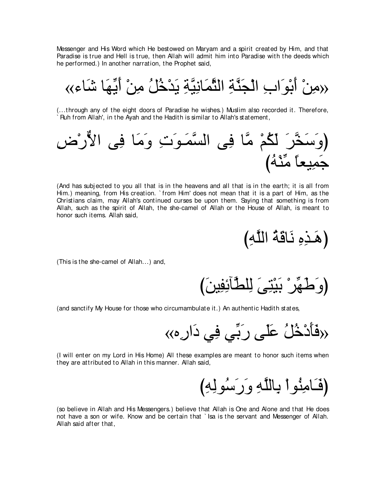Messenger and His Word which He bestowed on Maryam and a spirit created by Him, and that Paradise is true and Hell is true, then Allah will admit him into Paradise with the deeds which he performed.) In another narration, the Prophet said.

«هِنْ أَبْوَ ابِ الْجَنَّةِ النَّمَانِيَّةِ بَدْخُلُ مِنْ أَبِّهَا شَاءِ»

(...through any of the eight doors of Paradise he wishes.) Muslim also recorded it. Therefore, Ruh from Allah', in the Ayah and the Hadith is similar to Allah's statement,



(And has subjected to you all that is in the heavens and all that is in the earth; it is all from Him.) meaning, from His creation. `from Him' does not mean that it is a part of Him, as the Christians claim, may Allah's continued curses be upon them. Saying that something is from Allah, such as the spirit of Allah, the she-camel of Allah or the House of Allah, is meant to honor such items. Allah said,

(هَذِهِ نَاقَةُ اللَّهِ)

(This is the she-camel of Allah...) and,

مِّرْ ۚ بَيْنِّيَ لِلطَّائِفِينَ)

(and sanctify My House for those who circumambulate it.) An authentic Hadith states,

(I will enter on my Lord in His Home) All these examples are meant to honor such items when they are attributed to Allah in this manner. Allah said,

(فَامِنُواْ بِاللَّهِ وَرَسُولِهِ)

(so believe in Allah and His Messengers.) believe that Allah is One and Alone and that He does not have a son or wife. Know and be certain that `Isa is the servant and Messenger of Allah. Allah said after that,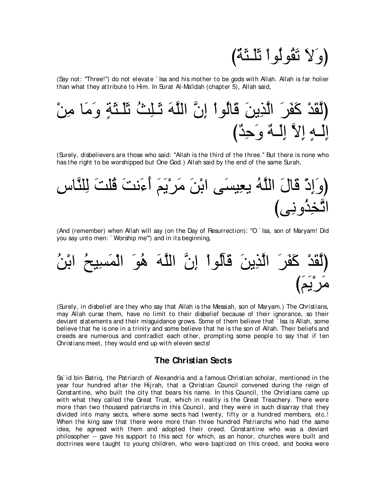び∀る∠ん⇒∠ヤ∠を ∇やヲ⊥ャヲ⊥ボ∠ゎ ∠Ι∠ヱぴ

(Say not: "Three!") do not elevate ` Isa and his mother to be gods with Allah. Allah is far holier than what they attribute to Him. In Surat Al-Ma'idah (chapter 5), Allah said,



(Surely, disbelievers are those who said: "Allah is the third of the three.'' But there is none who has the right to be worshipped but One God.) Allah said by the end of the same Surah,



(And (remember) when Allah will say (on the Day of Resurrection): "O ` Isa, son of Maryam! Did you say unto men: ` Worship me''') and in its beginning,



(Surely, in disbelief are they who say that Allah is the Messiah, son of Maryam.) The Christians, may Allah curse them, have no limit to their disbelief because of their ignorance, so their deviant statements and their misguidance grows. Some of them believe that ` Isa is Allah, some believe that he is one in a trinity and some believe that he is the son of Allah. Their beliefs and creeds are numerous and contradict each other, prompting some people to say that if ten Christians meet, they would end up with eleven sects!

## **The Christian Sects**

Sa` id bin Batriq, the Patriarch of Alexandria and a famous Christian scholar, mentioned in the year four hundred after the Hijrah, that a Christian Council convened during the reign of Constantine, who built the city that bears his name. In this Council, the Christians came up with what they called the Great Trust, which in reality is the Great Treachery. There were more than two thousand patriarchs in this Council, and they were in such disarray that they divided into many sects, where some sects had twenty, fifty or a hundred members, etc.! When the king saw that there were more than three hundred Patriarchs who had the same idea, he agreed with them and adopted their creed. Constantine who was a deviant philosopher -- gave his support to this sect for which, as an honor, churches were built and doctrines were taught to young children, who were baptized on this creed, and books were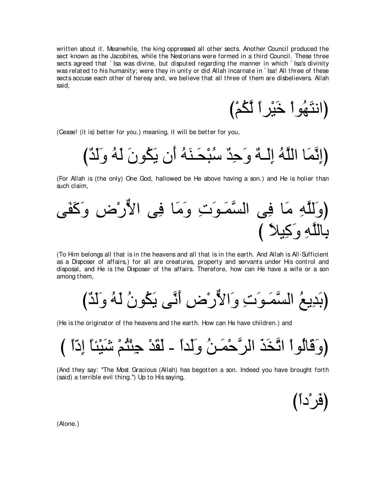written about it. Meanwhile, the king oppressed all other sects. Another Council produced the sect known as the Jacobites, while the Nestorians were formed in a third Council. These three sects agreed that ` Isa was divine, but disputed regarding the manner in which ` Isa's divinity was related to his humanity; were they in unity or did Allah incarnate in ` Isa! All three of these sects accuse each other of heresy and, we believe that all three of them are disbelievers. Allah said,

(انتَهُو ا خَيْرٍ اً لَّكُمْ)

(Cease! (it is) better for you.) meaning, it will be better for you,

び∀ギ∠ャ∠ヱ ⊥ヮ∠ャ ∠ラヲ⊥ム∠Α ラ∠ぺ ⊥ヮ∠レ⇒∠エ∇ら⊥シ ∀ギ⌒ェ∠ヱ ∀ヮ⇒∠ャ⌒ま ⊥ヮzヤャや ゅ∠ヨzル⌒まぴ

(For Allah is (the only) One God, hallowed be He above having a son.) and He is holier than such claim,



(To Him belongs all that is in the heavens and all that is in the earth. And Allah is All-Sufficient as a Disposer of affairs,) for all are creatures, property and servants under His control and disposal, and He is the Disposer of the affairs. Therefore, how can He have a wife or a son among them,

び∀ギ∠ャ∠ヱ ⊥ヮ∠ャ ⊥ラヲ⊥ム∠Α ヴzル∠ぺ ⌒チ∇ケxΙや∠ヱ ⌒れ∠ヲ⇒∠ヨzジャや ⊥ノΑ⌒ギ∠よぴ

(He is the originator of the heavens and the earth. How can He have children.) and

び ⇔や∂キ⌒ま ⇔ゅゃ∇Β∠セ ∇ユ⊥わ∇ゃ⌒ィ ∇ギ∠ボ∠ャ - ⇔やギ∠ャ∠ヱ ⊥リ⇒∠ヨ∇ェzゲャや ∠グ∠ガzゎや ∇やヲ⊥ャゅ∠ホ∠ヱぴ

(And they say: "The Most Gracious (Allah) has begotten a son. Indeed you have brought forth (said) a terrible evil thing.'') Up to His saying,

(فَر\_ْدأ)

(Alone.)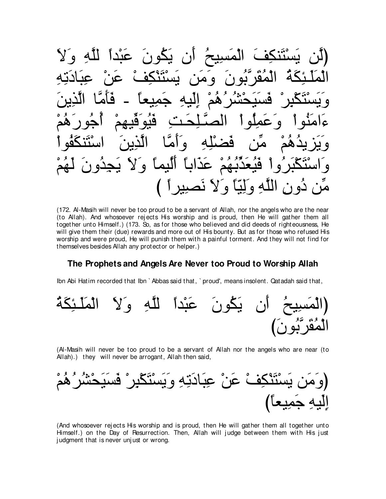عند ان بکو َ نه ۱ <u>ي</u> ئىد  $\boldsymbol{\mathcal{A}}$ المعا و لا عدايا فتعديهم دُونِ اللَّهِ وَلِيًّا وَلا نَصِيرٍ أَ )

(172. Al-Masih will never be too proud to be a servant of Allah, nor the angels who are the near (to Allah). And whosoever rejects His worship and is proud, then He will gather them all together unto Himself.) (173. So, as for those who believed and did deeds of righteousness, He will give them their (due) rewards and more out of His bounty. But as for those who refused His worship and were proud, He will punish them with a painful torment. And they will not find for themselves besides Allah any protector or helper.)

#### The Prophets and Angels Are Never too Proud to Worship Allah

Ibn Abi Hatim recorded that Ibn `Abbas said that, `proud', means insolent. Qatadah said that,



(Al-Masih will never be too proud to be a servant of Allah nor the angels who are near (to Allah).) they will never be arrogant, Allah then said,



(And whosoever rejects His worship and is proud, then He will gather them all together unto Himself.) on the Day of Resurrection. Then, Allah will judge between them with His just judgment that is never unjust or wrong.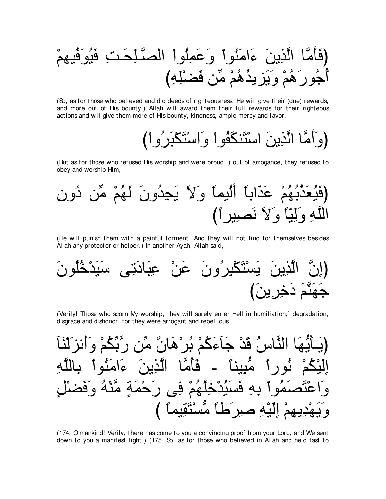(So, as for those who believed and did deeds of righteousness, He will give their (due) rewards, and more out of His bounty.) Allah will award them their full rewards for their righteous actions and will give them more of His bounty, kindness, ample mercy and favor.

(But as for those who refused His worship and were proud, ) out of arrogance, they refused to obey and worship Him,



(He will punish them with a painful torment. And they will not find for themselves besides Allah any protector or helper.) In another Ayah, Allah said,



(Verily! Those who scorn My worship, they will surely enter Hell in humiliation,) degradation, disgrace and dishonor, for they were arrogant and rebellious.

(174. O mankind! Verily, there has come to you a convincing proof from your Lord; and We sent down to you a manifest light.) (175. So, as for those who believed in Allah and held fast to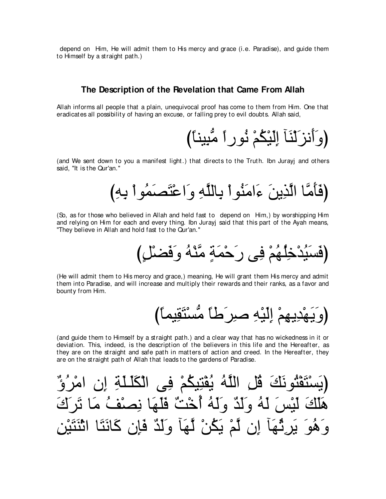depend on Him, He will admit them to His mercy and grace (i.e. Paradise), and guide them to Himself by a straight path.)

#### **The Description of the Revelation that Came From Allah**

Allah informs all people that a plain, unequivocal proof has come to them from Him. One that eradicates all possibility of having an excuse, or falling prey to evil doubts. Allah said,

び⇔ゅレΒ⌒らぁョ ⇔やケヲ⊥ル ∇ユ⊥ム∇Β∠ャ⌒ま べ∠レ∇ャ∠ゴル∠ぺ∠ヱぴ

(and We sent down to you a manifest light.) that directs to the Truth. Ibn Jurayj and others said, "It is the Qur'an.''

び⌒ヮ⌒よ ∇やヲ⊥ヨ∠ダ∠わ∇ハや∠ヱ ⌒ヮzヤャゅ⌒よ ∇やヲ⊥レ∠ョや∠¬ ∠リΑ⌒グzャや ゅzョ∠ほ∠プぴ

(So, as for those who believed in Allah and held fast to depend on Him,) by worshipping Him and relying on Him for each and every thing. Ibn Jurayj said that this part of the Ayah means, "They believe in Allah and hold fast to the Qur'an.''

(فَسَيُدْخِلُهُمْ فِي رَحْمَةٍ مَّنْهُ وَفَضِلْلٍ

(He will admit them to His mercy and grace,) meaning, He will grant them His mercy and admit them into Paradise, and will increase and multiply their rewards and their ranks, as a favor and bounty from Him.

び⇔ゅヨΒ⌒ボ∠わ∇ジぁョ ⇔ゅデ∠ゲ⌒タ ⌒ヮ∇Β∠ャ⌒ま ∇ユ⌒ヰΑ⌒ギ∇ヰ∠Α∠ヱぴ

(and guide them to Himself by a straight path.) and a clear way that has no wickedness in it or deviation. This, indeed, is the description of the believers in this life and the Hereafter, as they are on the straight and safe path in matters of action and creed. In the Hereafter, they are on the straight path of Allah that leads to the gardens of Paradise.

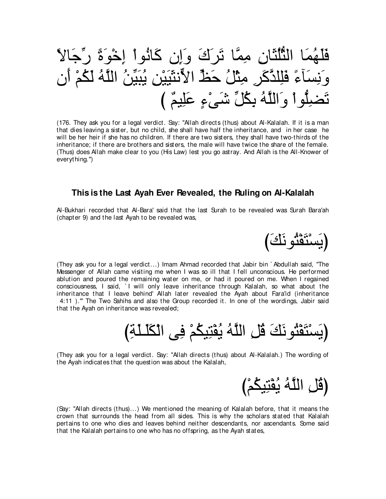فَلْهُمَا الثَّلْثَانِ مِمَّا تَركَ وَإِن كَانُواْ إِخْوَةً رِّجَالاً وَ نِسَآءً ۖ فَلِلدَّكَرِ ۖ مِثْلُ حَظِّ الأَنثَيَيْنِ يُبَيِّنُ اللَّهُ لَكُمْ أَن لَّو أ وَ اللَّهُ بِكُلِّ شَيْءٍ عَلِيمٌ )

(176. They ask you for a legal verdict. Say: "Allah directs (thus) about Al-Kalalah. If it is a man that dies leaving a sister, but no child, she shall have half the inheritance, and in her case he will be her heir if she has no children. If there are two sisters, they shall have two-thirds of the inheritance; if there are brothers and sisters, the male will have twice the share of the female. (Thus) does Allah make clear to you (His Law) lest you go astray. And Allah is the All-Knower of everything.'')

### **This is the Last Ayah Ever Revealed, the Ruling on Al-Kalalah**

Al-Bukhari recorded that Al-Bara' said that the last Surah to be revealed was Surah Bara'ah (chapter 9) and the last Ayah to be revealed was,

سنّڤثو نك)

(They ask you for a legal verdict...) Imam Ahmad recorded that Jabir bin ` Abdullah said, "The Messenger of Allah came visiting me when I was so ill that I fell unconscious. He performed ablution and poured the remaining water on me, or had it poured on me. When I regained consciousness, I said, `I will only leave inheritance through Kalalah, so what about the inheritance that I leave behind' Allah later revealed the Ayah about Fara'id (inheritance 4:11 ).''' The Two Sahihs and also the Group recorded it. In one of the wordings, Jabir said that the Ayah on inheritance was revealed;

(بَسْتَقْتُو نَكَ قُلِ اللَّهُ يُقْتِيكُمْ فِي الْكَلَـلَةِ)

(They ask you for a legal verdict. Say: "Allah directs (thus) about Al-Kalalah.) The wording of the Ayah indicates that the question was about the Kalalah,

(قُلِ اللَّهُ يُقْتِيكُمْ)

(Say: "Allah directs (thus)...) We mentioned the meaning of Kalalah before, that it means the crown that surrounds the head from all sides. This is why the scholars stated that Kalalah pertains to one who dies and leaves behind neither descendants, nor ascendants. Some said that the Kalalah pertains to one who has no offspring, as the Ayah states,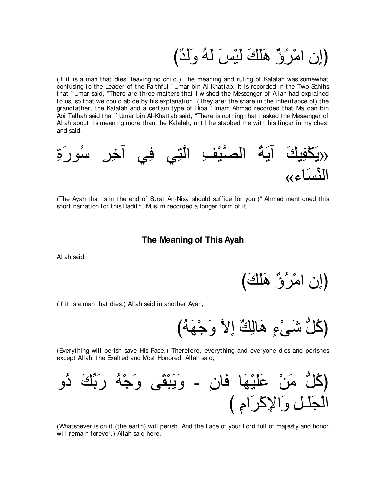# (إن امْرٍ′وٌ هَلَكَ لَيْسَ لَهُ وَلَدٌ)

(If it is a man that dies, leaving no child,) The meaning and ruling of Kalalah was somewhat confusing to the Leader of the Faithful ` Umar bin Al-Khattab. It is recorded in the Two Sahihs that ` Umar said, "There are three matters that I wished the Messenger of Allah had explained to us, so that we could abide by his explanation. (They are: the share in the inheritance of) the grandfather, the Kalalah and a certain type of Riba.'' Imam Ahmad recorded that Ma` dan bin Abi Talhah said that ` Umar bin Al-Khattab said, "There is nothing that I asked the Messenger of Allah about its meaning more than the Kalalah, until he stabbed me with his finger in my chest and said,



(The Ayah that is in the end of Surat An-Nisa' should suffice for you.)'' Ahmad mentioned this short narration for this Hadith, Muslim recorded a longer form of it.

#### **The Meaning of This Ayah**

Allah said,

(إِنِ امْرِ وٌ هَ<u>لَكَ</u>)

(If it is a man that dies.) Allah said in another Ayah,

(كُلَّ شَيْءٍ هَالِكٌ إِلاَّ وَجْهَهُ)

(Everything will perish save His Face.) Therefore, everything and everyone dies and perishes except Allah, the Exalted and Most Honored. Allah said,



(Whatsoever is on it (the earth) will perish. And the Face of your Lord full of majesty and honor will remain forever.) Allah said here,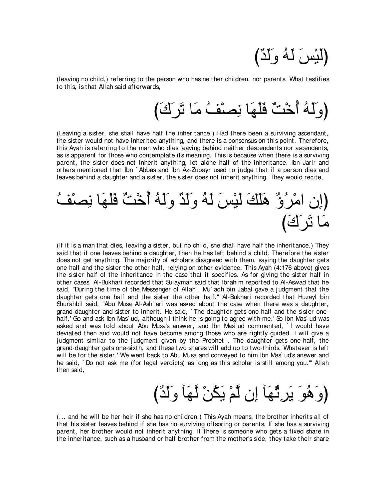{لَيْسَ لَـهُ وَلَدٌ}

(leaving no child,) referring to the person who has neither children, nor parents. What testifies to this, is that Allah said afterwards,

(وَلَهُ أَخْتٌ فَلَهَا نِصنْفُ مَا نَرَكَ)

(Leaving a sister, she shall have half the inheritance.) Had there been a surviving ascendant, the sister would not have inherited anything, and there is a consensus on this point. Therefore, this Ayah is referring to the man who dies leaving behind neither descendants nor ascendants, as is apparent for those who contemplate its meaning. This is because when there is a surviving parent, the sister does not inherit anything, let alone half of the inheritance. Ibn Jarir and others mentioned that Ibn ` Abbas and Ibn Az-Zubayr used to judge that if a person dies and leaves behind a daughter and a sister, the sister does not inherit anything. They would recite,

# (إن امْرُوٌ ۖ هَلَكَ لَيْسَ لَـهُ وَلَدٌ وَلَـهُ أَخْتٌ فَلَـهَا نِصنْفُ مَا نَر َكَ)

(If it is a man that dies, leaving a sister, but no child, she shall have half the inheritance.) They said that if one leaves behind a daughter, then he has left behind a child. Therefore the sister does not get anything. The majority of scholars disagreed with them, saying the daughter gets one half and the sister the other half, relying on other evidence. This Ayah (4:176 above) gives the sister half of the inheritance in the case that it specifies. As for giving the sister half in other cases, Al-Bukhari recorded that Sulayman said that Ibrahim reported to Al-Aswad that he said, "During the time of the Messenger of Allah , Mu` adh bin Jabal gave a j udgment that the daughter gets one half and the sister the other half.'' Al-Bukhari recorded that Huzayl bin Shurahbil said, "Abu Musa Al-Ash` ari was asked about the case when there was a daughter, grand-daughter and sister to inherit. He said, ` The daughter gets one-half and the sister onehalf.' Go and ask Ibn Mas` ud, although I think he is going to agree with me.' So Ibn Mas` ud was asked and was told about Abu Musa's answer, and Ibn Mas` ud commented, ` I would have deviated then and would not have become among those who are rightly guided. I will give a judgment similar to the judgment given by the Prophet. The daughter gets one-half, the grand-daughter gets one-sixth, and these two shares will add up to two-thirds. Whatever is left will be for the sister.' We went back to Abu Musa and conveyed to him Ibn Mas` ud's answer and he said, ` Do not ask me (for legal verdicts) as long as this scholar is still among you.''' Allah then said,

# (وَ هُوَ يَرِ ثَّهَآ إن لَمْ يَكُنْ لَهَآ وَلَدٌ)

(... and he will be her heir if she has no children.) This Ayah means, the brother inherits all of that his sister leaves behind if she has no surviving offspring or parents. If she has a surviving parent, her brother would not inherit anything. If there is someone who gets a fixed share in the inheritance, such as a husband or half brother from the mother's side, they take their share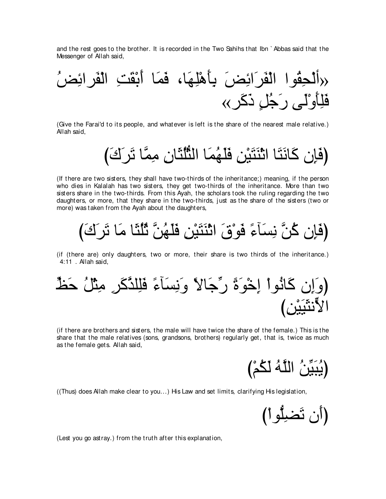and the rest goes to the brother. It is recorded in the Two Sahihs that Ibn ` Abbas said that the Messenger of Allah said,

(راُلُحِقُوا الُفَرَائِضَ يأَهُلِهَا، قَمَا أَبُقَتِ الُفَرائِضُ
$$
\underline{\hspace{1cm}}
$$

(Give the Farai'd to its people, and whatever is left is the share of the nearest male relative.) Allah said,

び∠ポ∠ゲ∠ゎ ゅzヨ⌒ョ ⌒ラゅ∠ん⊥ヤぁんャや ゅ∠ヨ⊥ヰ∠ヤ∠プ ⌒リ∇Β∠わ∠レ∇をや ゅ∠わ∠ルゅ∠ミ ラ⌒み∠プぴ

(If there are two sisters, they shall have two-thirds of the inheritance;) meaning, if the person who dies in Kalalah has two sisters, they get two-thirds of the inheritance. More than two sisters share in the two-thirds. From this Ayah, the scholars took the ruling regarding the two daughters, or more, that they share in the two-thirds, just as the share of the sisters (two or more) was taken from the Ayah about the daughters,

び∠ポ∠ゲ∠ゎ ゅ∠ョ ゅ∠ん⊥ヤ⊥を zリ⊥ヰ∠ヤ∠プ ⌒リ∇Β∠わ∠レ∇をや ∠ベ∇ヲ∠プ ⇔¬べ∠ジ⌒ル zリ⊥ミ ラ⌒み∠プぴ

(if (there are) only daughters, two or more, their share is two thirds of the inheritance.) 4:11 . Allah said,

(وَازِنِ گَائُوا إِخُوَةَ رَّجَالًا وَنِسَآءَ قَلِلَّكَرِ مِنُلُ حَظُّ
$$
\widetilde{\mathbf{r}}
$$
الاُنَتَينِن

(if there are brothers and sisters, the male will have twice the share of the female.) This is the share that the male relatives (sons, grandsons, brothers) regularly get, that is, twice as much as the female gets. Allah said,

び∇ユ⊥ム∠ャ ⊥ヮzヤャや ⊥リあΒ∠ら⊥Αぴ

((Thus) does Allah make clear to you...) His Law and set limits, clarifying His legislation,

び∇やヲぁヤ⌒ツ∠ゎ ラ∠ぺぴ

(Lest you go astray.) from the truth after this explanation,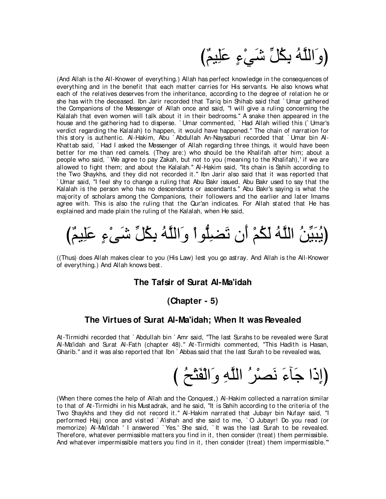(وَاللَّهُ بِكُلِّ شَيْءٍ عَلِيمٌ)

(And Allah is the All-Knower of everything.) Allah has perfect knowledge in the consequences of everything and in the benefit that each matter carries for His servants. He also knows what each of the relatives deserves from the inheritance, according to the degree of relation he or she has with the deceased. Ibn Jarir recorded that Tariq bin Shihab said that ` Umar gathered the Companions of the Messenger of Allah once and said, "I will give a ruling concerning the Kalalah that even women will talk about it in their bedrooms.'' A snake then appeared in the house and the gathering had to disperse. ` Umar commented, ` Had Allah willed this (` Umar's verdict regarding the Kalalah) to happen, it would have happened.'' The chain of narration for this story is authentic. Al-Hakim, Abu ` Abdullah An-Naysaburi recorded that ` Umar bin Al-Khattab said, ` Had I asked the Messenger of Allah regarding three things, it would have been better for me than red camels. (They are:) who should be the Khalifah after him; about a people who said, ` We agree to pay Zakah, but not to you (meaning to the Khalifah),' if we are allowed to fight them; and about the Kalalah.'' Al-Hakim said, "Its chain is Sahih according to the Two Shaykhs, and they did not recorded it.'' Ibn Jarir also said that it was reported that ` Umar said, "I feel shy to change a ruling that Abu Bakr issued. Abu Bakr used to say that the Kalalah is the person who has no descendants or ascendants.'' Abu Bakr's saying is what the majority of scholars among the Companions, their followers and the earlier and later Imams agree with. This is also the ruling that the Qur'an indicates. For Allah stated that He has explained and made plain the ruling of the Kalalah, when He said,

# ﴿يُبَيِّنُ اللَّهُ لَكُمْ أَن تَضلِّواْ وَاللَّهُ بِكُلِّ شَيْءٍ عَلِيمٌ)

((Thus) does Allah makes clear to you (His Law) lest you go astray. And Allah is the All-Knower of everything.) And Allah knows best.

## **The Tafsir of Surat Al-Ma'idah**

# **(Chapter - 5)**

#### **The Virtues of Surat Al-Ma'idah; When It was Revealed**

At-Tirmidhi recorded that ` Abdullah bin ` Amr said, "The last Surahs to be revealed were Surat Al-Ma'idah and Surat Al-Fath (chapter 48).'' At-Tirmidhi commented, "This Hadith is Hasan, Gharib." and it was also reported that Ibn `Abbas said that the last Surah to be revealed was,

# (إِذَا جَأَءَ نَصْنُ اللَّهِ وَالْفَثْحُ )

(When there comes the help of Allah and the Conquest,) Al-Hakim collected a narration similar to that of At-Tirmidhi in his Mustadrak, and he said, "It is Sahih according to the criteria of the Two Shaykhs and they did not record it.'' Al-Hakim narrated that Jubayr bin Nufayr said, "I performed Hajj once and visited `A'ishah and she said to me, `O Jubayr! Do you read (or memorize) Al-Ma'idah ' I answered ` Yes.' She said, ` It was the last Surah to be revealed. Therefore, whatever permissible matters you find in it, then consider (treat) them permissible. And whatever impermissible matters you find in it, then consider (treat) them impermissible.'''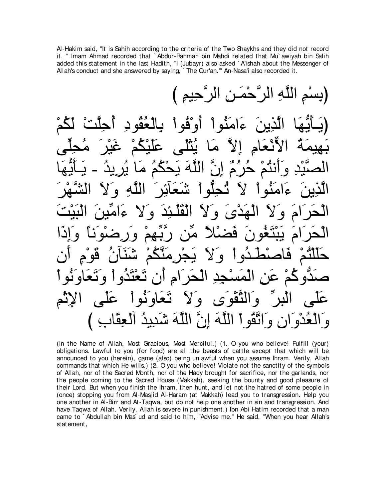Al-Hakim said, "It is Sahih according to the criteria of the Two Shaykhs and they did not record it. "Imam Ahmad recorded that `Abdur-Rahman bin Mahdi related that Mu`awiyah bin Salih added this statement in the last Hadith, "I (Jubayr) also asked `A'ishah about the Messenger of Allah's conduct and she answered by saying, `The Qur'an.'" An-Nasa'i also recorded it.

(بِسْمِ اللَّهِ الرَّحْمَـنِ الرَّحِيمِ ) حقه د او قو <u>ئڈ</u>  $\blacktriangle$ ىد الفا  $\bullet$  $\bullet$  $\sqrt{2}$  $\Delta$ اح ٽف ப்  $\sqrt{2}$  $\bullet$ اللَّهَ إِنَّ اللَّهَ شَدِيدُ الْعِقْـ اتقو ا

(In the Name of Allah, Most Gracious, Most Merciful.) (1. O you who believe! Fulfill (your) obligations. Lawful to you (for food) are all the beasts of cattle except that which will be announced to you (herein), game (also) being unlawful when you assume Ihram. Verily, Allah commands that which He wills.) (2. O you who believe! Violate not the sanctity of the symbols of Allah, nor of the Sacred Month, nor of the Hady brought for sacrifice, nor the garlands, nor the people coming to the Sacred House (Makkah), seeking the bounty and good pleasure of their Lord. But when you finish the Ihram, then hunt, and let not the hatred of some people in (once) stopping you from Al-Masjid Al-Haram (at Makkah) lead you to transgression. Help you one another in Al-Birr and At-Taqwa, but do not help one another in sin and transgression. And have Taqwa of Allah. Verily, Allah is severe in punishment.) Ibn Abi Hatim recorded that a man came to `Abdullah bin Mas`ud and said to him, "Advise me." He said, "When you hear Allah's statement,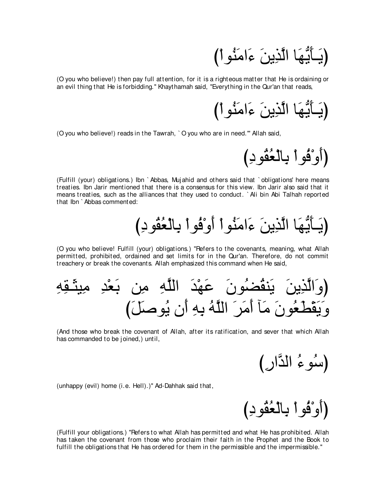(يَــأَيُّـهَا الَّذِينَ ءَامَنُو أ)

(O you who believe!) then pay full attention, for it is a righteous matter that He is ordaining or an evil thing that He is forbidding.'' Khaythamah said, "Everything in the Qur'an that reads,

び∇やヲ⊥レ∠ョや∠¬ ∠リΑ⌒グzャや ゅ∠ヰぁΑ∠ほ⇒∠Αぴ

(O you who believe!) reads in the Tawrah, ` O you who are in need.''' Allah said,

(أَوْقُواْ بِالْعُقُودِ)

(Fulfill (your) obligations.) Ibn ` Abbas, Muj ahid and others said that ` obligations' here means treaties. Ibn Jarir mentioned that there is a consensus for this view. Ibn Jarir also said that it means treaties, such as the alliances that they used to conduct. ` Ali bin Abi Talhah reported that Ibn ` Abbas commented:

び⌒キヲ⊥ボ⊥バ∇ャゅ⌒よ ∇やヲ⊥プ∇ヱ∠ぺ ∇やヲ⊥レ∠ョや∠¬ ∠リΑ⌒グzャや ゅ∠ヰぁΑ∠ほ⇒∠Αぴ

(O you who believe! Fulfill (your) obligations.) "Refers to the covenants, meaning, what Allah permitted, prohibited, ordained and set limits for in the Qur'an. Therefore, do not commit treachery or break the covenants. Allah emphasized this command when He said,

⌒ヮ⌒ボ⇒∠んΒ⌒ョ ⌒ギ∇バ∠よ リ⌒ョ ⌒ヮzヤャや ∠ギ∇ヰ∠ハ ∠ラヲ⊥ツ⊥ボレ∠Α ∠リΑ⌒グzャや∠ヱぴ び∠モ∠タヲ⊥Α ラ∠ぺ ⌒ヮ⌒よ ⊥ヮzヤャや ∠ゲ∠ョ∠ぺ べ∠ョ ∠ラヲ⊥バ∠ト∇ボ∠Α∠ヱ

(And those who break the covenant of Allah, after its ratification, and sever that which Allah has commanded to be joined,) until,

(سُوءُ الدَّار)<br>ا

(unhappy (evil) home (i.e. Hell).)'' Ad-Dahhak said that,

(أَوْقُوا بِالْعُقُودِ)

(Fulfill your obligations.) "Refers to what Allah has permitted and what He has prohibited. Allah has taken the covenant from those who proclaim their faith in the Prophet and the Book to fulfill the obligations that He has ordered for them in the permissible and the impermissible."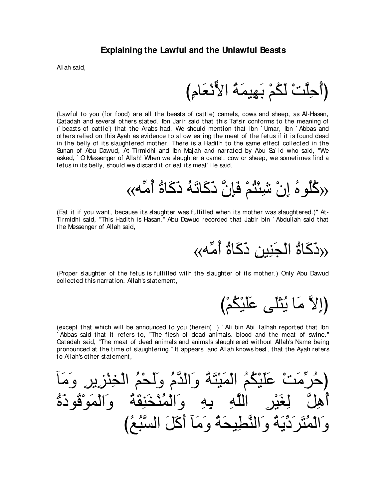Allah said,

び⌒ュゅ∠バ∇ルxΙや ⊥る∠ヨΒ⌒ヰ∠よ ∇ユ⊥ム∠ャ ∇ろzヤ⌒ェ⊥ぺぴ

(Lawful to you (for food) are all the beasts of cattle) camels, cows and sheep, as Al-Hasan, Qatadah and several others stated. Ibn Jarir said that this Tafsir conforms to the meaning of (` beasts of cattle') that the Arabs had. We should mention that Ibn ` Umar, Ibn ` Abbas and others relied on this Ayah as evidence to allow eating the meat of the fetus if it is found dead in the belly of its slaughtered mother. There is a Hadith to the same effect collected in the Sunan of Abu Dawud, At-Tirmidhi and Ibn Majah and narrated by Abu Sa' id who said, "We asked, ` O Messenger of Allah! When we slaughter a camel, cow or sheep, we sometimes find a fetus in its belly, should we discard it or eat its meat' He said,

«ヮあョ⊥ぺ ⊥りゅ∠ミ∠ク ⊥ヮ∠ゎゅ∠ミ∠ク zラ⌒み∠プ ∇ユ⊥わ∇ゃ⌒セ ∇ラ⌒ま ⊥ロヲ⊥ヤ⊥ミ»

(Eat it if you want, because its slaughter was fulfilled when its mother was slaughtered.)'' At-Tirmidhi said, "This Hadith is Hasan.'' Abu Dawud recorded that Jabir bin ` Abdullah said that the Messenger of Allah said,

«دنَكَاةُ الْجَنِبِر*ِي* دَكَاةُ أُمِّهِ»

(Proper slaughter of the fetus is fulfilled with the slaughter of its mother.) Only Abu Dawud collected this narration. Allah's statement,

(إِلاَّ مَا يُثْلِّي عَلَيْكُمْ)

(except that which will be announced to you (herein), ) ` Ali bin Abi Talhah reported that Ibn ` Abbas said that it refers to, "The flesh of dead animals, blood and the meat of swine.'' Qatadah said, "The meat of dead animals and animals slaughtered without Allah's Name being pronounced at the time of slaughtering.'' It appears, and Allah knows best, that the Ayah refers to Allah's other statement,

べ∠ョ∠ヱ ⌒ゲΑ⌒ゴ∇レ⌒ガ∇ャや ⊥ユ∇エ∠ャ∠ヱ ⊥ュzギ∇ャや∠ヱ ⊥る∠わ∇Β∠ヨ∇ャや ⊥ユ⊥ム∇Β∠ヤ∠ハ ∇ろ∠ョあゲ⊥ェぴ ⊥り∠クヲ⊥ホ∇ヲ∠ヨ∇ャや∠ヱ ⊥る∠ボ⌒レ∠ガ∇レ⊥ヨ∇ャや∠ヱ ⌒ヮ⌒よ ⌒ヮzヤャや ⌒ゲ∇Β∠ピ⌒ャ zモ⌒ワ⊥ぺ び⊥ノ⊥らzジャや ∠モ∠ミ∠ぺ べ∠ョ∠ヱ ⊥る∠エΒ⌒トzレャや∠ヱ ⊥る∠Αあキ∠ゲ∠わ⊥ヨ∇ャや∠ヱ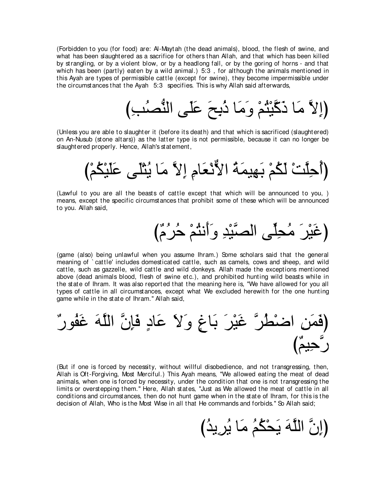(Forbidden to you (for food) are: Al-Maytah (the dead animals), blood, the flesh of swine, and what has been slaughtered as a sacrifice for others than Allah, and that which has been killed by strangling, or by a violent blow, or by a headlong fall, or by the goring of horns - and that which has been (partly) eaten by a wild animal.) 5:3 , for although the animals mentioned in this Ayah are types of permissible cattle (except for swine), they become impermissible under the circumstances that the Ayah 5:3 specifies. This is why Allah said afterwards,

び⌒ょ⊥ダぁレャや ヴ∠ヤ∠ハ ∠ウ⌒よ⊥ク ゅ∠ョ∠ヱ ∇ユ⊥わ∇Βzミ∠ク ゅ∠ョ zΙ⌒まぴ

(Unless you are able to slaughter it (before its death) and that which is sacrificed (slaughtered) on An-Nusub (stone altars)) as the latter type is not permissible, because it can no longer be slaughtered properly. Hence, Allah's statement,

び∇ユ⊥ム∇Β∠ヤ∠ハ ヴ∠ヤ∇わ⊥Α ゅ∠ョ zΙ⌒ま ⌒ュゅ∠バ∇ルxΙや ⊥る∠ヨΒ⌒ヰ∠よ ∇ユ⊥ム∠ャ ∇ろzヤ⌒ェ⊥ぺぴ

(Lawful to you are all the beasts of cattle except that which will be announced to you, ) means, except the specific circumstances that prohibit some of these which will be announced to you. Allah said,

び∀ュ⊥ゲ⊥ェ ∇ユ⊥わル∠ぺ∠ヱ ⌒ギ∇Βzダャや ヴあヤ⌒エ⊥ョ ∠ゲ∇Β∠ビぴ

(game (also) being unlawful when you assume Ihram.) Some scholars said that the general meaning of ` cattle' includes domesticated cattle, such as camels, cows and sheep, and wild cattle, such as gazzelle, wild cattle and wild donkeys. Allah made the exceptions mentioned above (dead animals blood, flesh of swine etc.), and prohibited hunting wild beasts while in the state of Ihram. It was also reported that the meaning here is, "We have allowed for you all types of cattle in all circumstances, except what We excluded herewith for the one hunting game while in the state of Ihram.'' Allah said,



(But if one is forced by necessity, without willful disobedience, and not transgressing, then, Allah is Oft-Forgiving, Most Merciful.) This Ayah means, "We allowed eating the meat of dead animals, when one is forced by necessity, under the condition that one is not transgressing the limits or overstepping them.'' Here, Allah states, "Just as We allowed the meat of cattle in all conditions and circumstances, then do not hunt game when in the state of Ihram, for this is the decision of Allah, Who is the Most Wise in all that He commands and forbids.'' So Allah said;

(إِنَّ اللَّهَ يَحْكُمُ مَا يُرِيدُ)